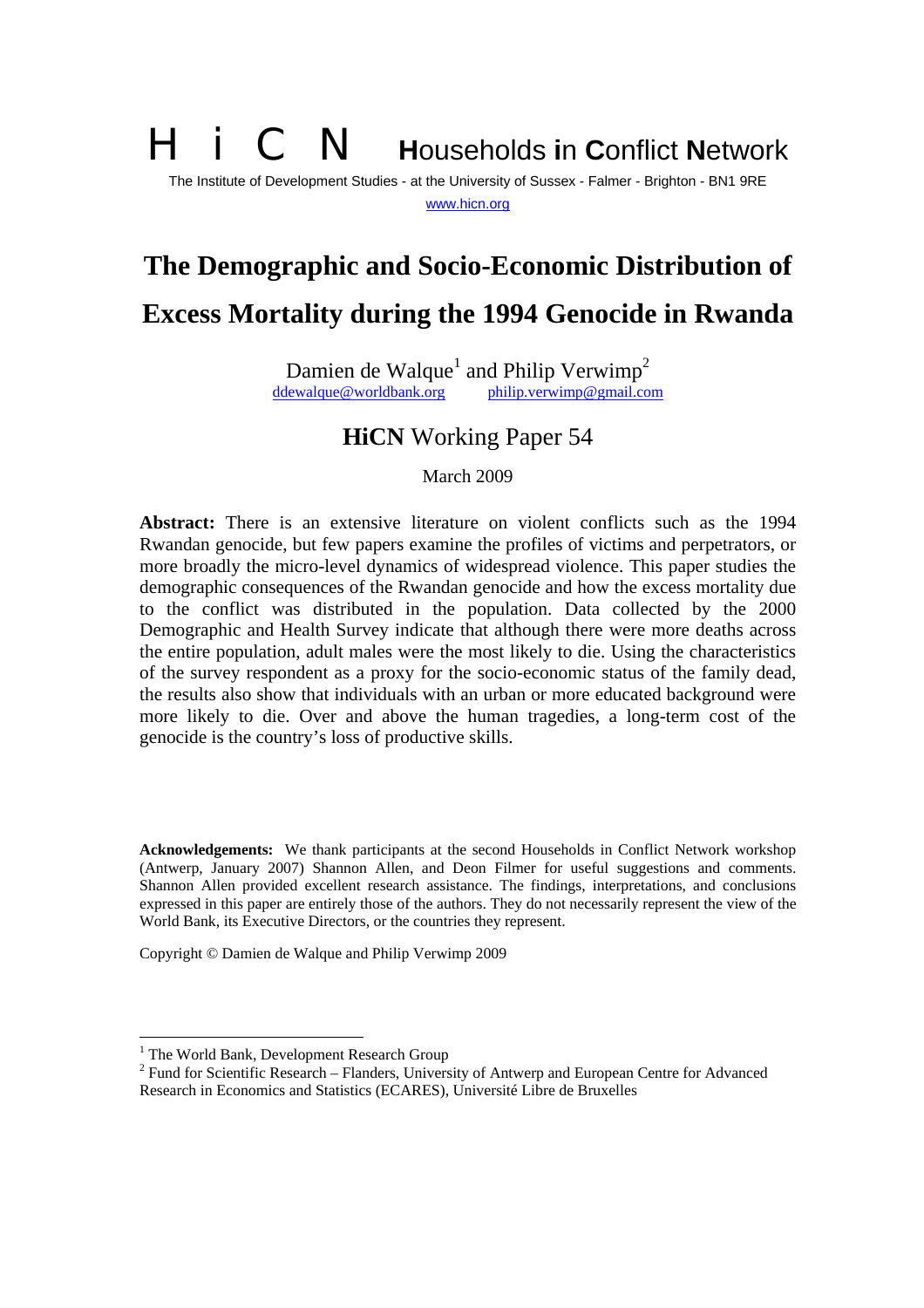# **i** C **N Households in Conflict Network**

The Institute of Development Studies - at the University of Sussex - Falmer - Brighton - BN1 9RE www.hicn.org

## **The Demographic and Socio-Economic Distribution of Excess Mortality during the 1994 Genocide in Rwanda**

Damien de Walque<sup>1</sup> and Philip Verwimp<sup>2</sup> ddewalque@worldbank.org philip.verwimp@gmail.com

## **HiCN** Working Paper 54

March 2009

**Abstract:** There is an extensive literature on violent conflicts such as the 1994 Rwandan genocide, but few papers examine the profiles of victims and perpetrators, or more broadly the micro-level dynamics of widespread violence. This paper studies the demographic consequences of the Rwandan genocide and how the excess mortality due to the conflict was distributed in the population. Data collected by the 2000 Demographic and Health Survey indicate that although there were more deaths across the entire population, adult males were the most likely to die. Using the characteristics of the survey respondent as a proxy for the socio-economic status of the family dead, the results also show that individuals with an urban or more educated background were more likely to die. Over and above the human tragedies, a long-term cost of the genocide is the country's loss of productive skills.

**Acknowledgements:** We thank participants at the second Households in Conflict Network workshop (Antwerp, January 2007) Shannon Allen, and Deon Filmer for useful suggestions and comments. Shannon Allen provided excellent research assistance. The findings, interpretations, and conclusions expressed in this paper are entirely those of the authors. They do not necessarily represent the view of the World Bank, its Executive Directors, or the countries they represent.

Copyright © Damien de Walque and Philip Verwimp 2009

 $\overline{a}$ 

<sup>&</sup>lt;sup>1</sup> The World Bank, Development Research Group

 $2$  Fund for Scientific Research – Flanders, University of Antwerp and European Centre for Advanced Research in Economics and Statistics (ECARES), Université Libre de Bruxelles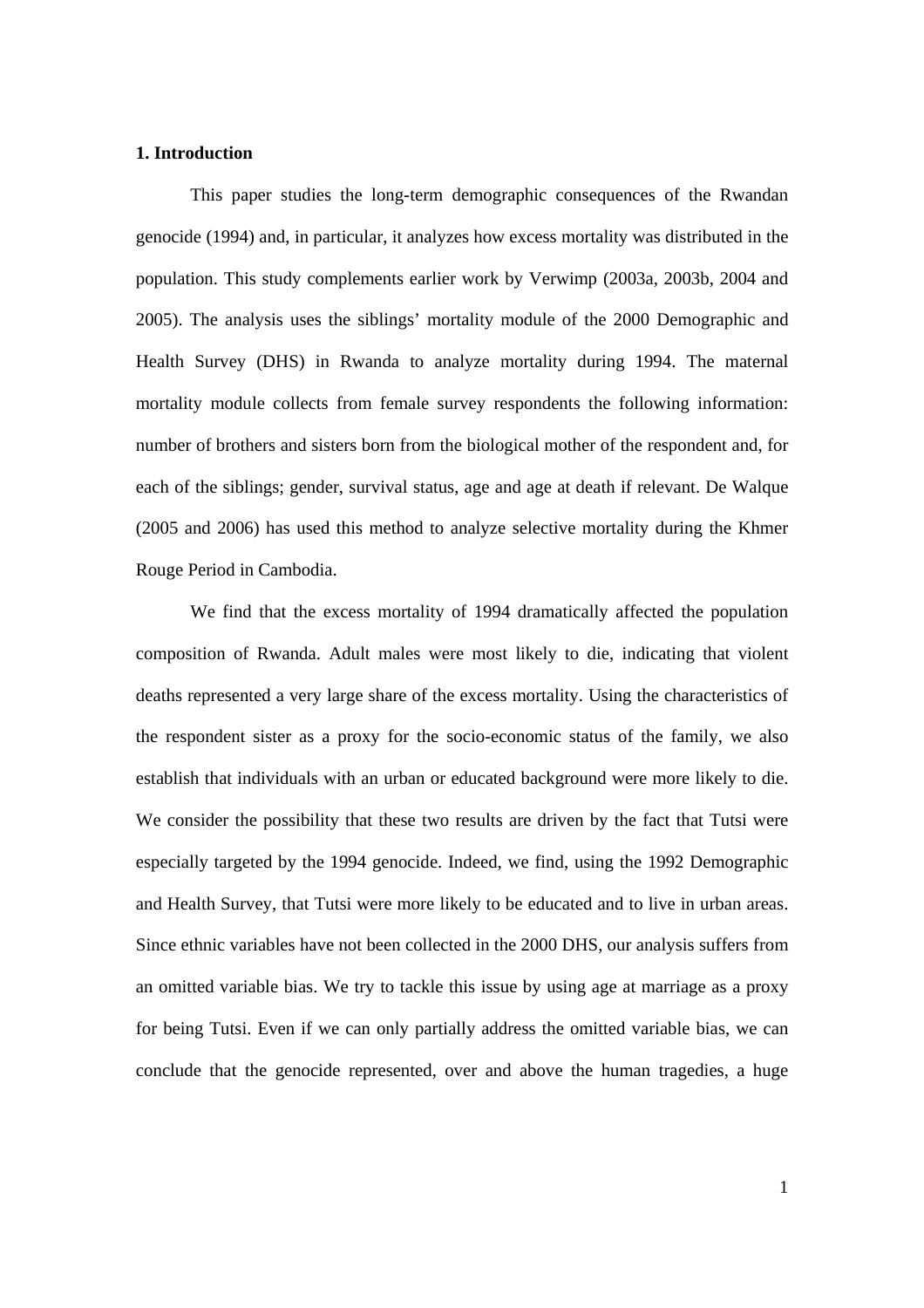#### **1. Introduction**

This paper studies the long-term demographic consequences of the Rwandan genocide (1994) and, in particular, it analyzes how excess mortality was distributed in the population. This study complements earlier work by Verwimp (2003a, 2003b, 2004 and 2005). The analysis uses the siblings' mortality module of the 2000 Demographic and Health Survey (DHS) in Rwanda to analyze mortality during 1994. The maternal mortality module collects from female survey respondents the following information: number of brothers and sisters born from the biological mother of the respondent and, for each of the siblings; gender, survival status, age and age at death if relevant. De Walque (2005 and 2006) has used this method to analyze selective mortality during the Khmer Rouge Period in Cambodia.

We find that the excess mortality of 1994 dramatically affected the population composition of Rwanda. Adult males were most likely to die, indicating that violent deaths represented a very large share of the excess mortality. Using the characteristics of the respondent sister as a proxy for the socio-economic status of the family, we also establish that individuals with an urban or educated background were more likely to die. We consider the possibility that these two results are driven by the fact that Tutsi were especially targeted by the 1994 genocide. Indeed, we find, using the 1992 Demographic and Health Survey, that Tutsi were more likely to be educated and to live in urban areas. Since ethnic variables have not been collected in the 2000 DHS, our analysis suffers from an omitted variable bias. We try to tackle this issue by using age at marriage as a proxy for being Tutsi. Even if we can only partially address the omitted variable bias, we can conclude that the genocide represented, over and above the human tragedies, a huge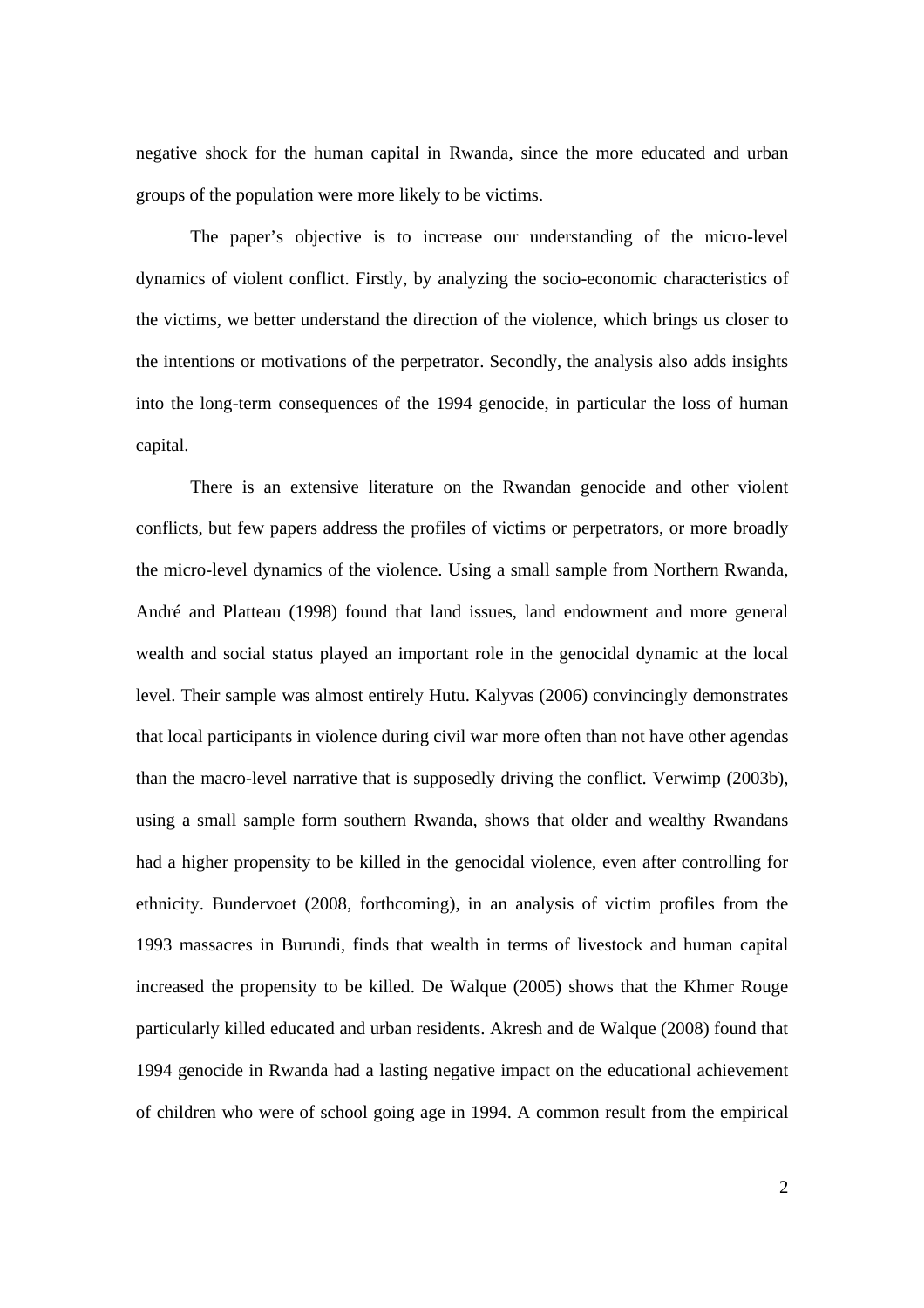negative shock for the human capital in Rwanda, since the more educated and urban groups of the population were more likely to be victims.

The paper's objective is to increase our understanding of the micro-level dynamics of violent conflict. Firstly, by analyzing the socio-economic characteristics of the victims, we better understand the direction of the violence, which brings us closer to the intentions or motivations of the perpetrator. Secondly, the analysis also adds insights into the long-term consequences of the 1994 genocide, in particular the loss of human capital.

There is an extensive literature on the Rwandan genocide and other violent conflicts, but few papers address the profiles of victims or perpetrators, or more broadly the micro-level dynamics of the violence. Using a small sample from Northern Rwanda, André and Platteau (1998) found that land issues, land endowment and more general wealth and social status played an important role in the genocidal dynamic at the local level. Their sample was almost entirely Hutu. Kalyvas (2006) convincingly demonstrates that local participants in violence during civil war more often than not have other agendas than the macro-level narrative that is supposedly driving the conflict. Verwimp (2003b), using a small sample form southern Rwanda, shows that older and wealthy Rwandans had a higher propensity to be killed in the genocidal violence, even after controlling for ethnicity. Bundervoet (2008, forthcoming), in an analysis of victim profiles from the 1993 massacres in Burundi, finds that wealth in terms of livestock and human capital increased the propensity to be killed. De Walque (2005) shows that the Khmer Rouge particularly killed educated and urban residents. Akresh and de Walque (2008) found that 1994 genocide in Rwanda had a lasting negative impact on the educational achievement of children who were of school going age in 1994. A common result from the empirical

2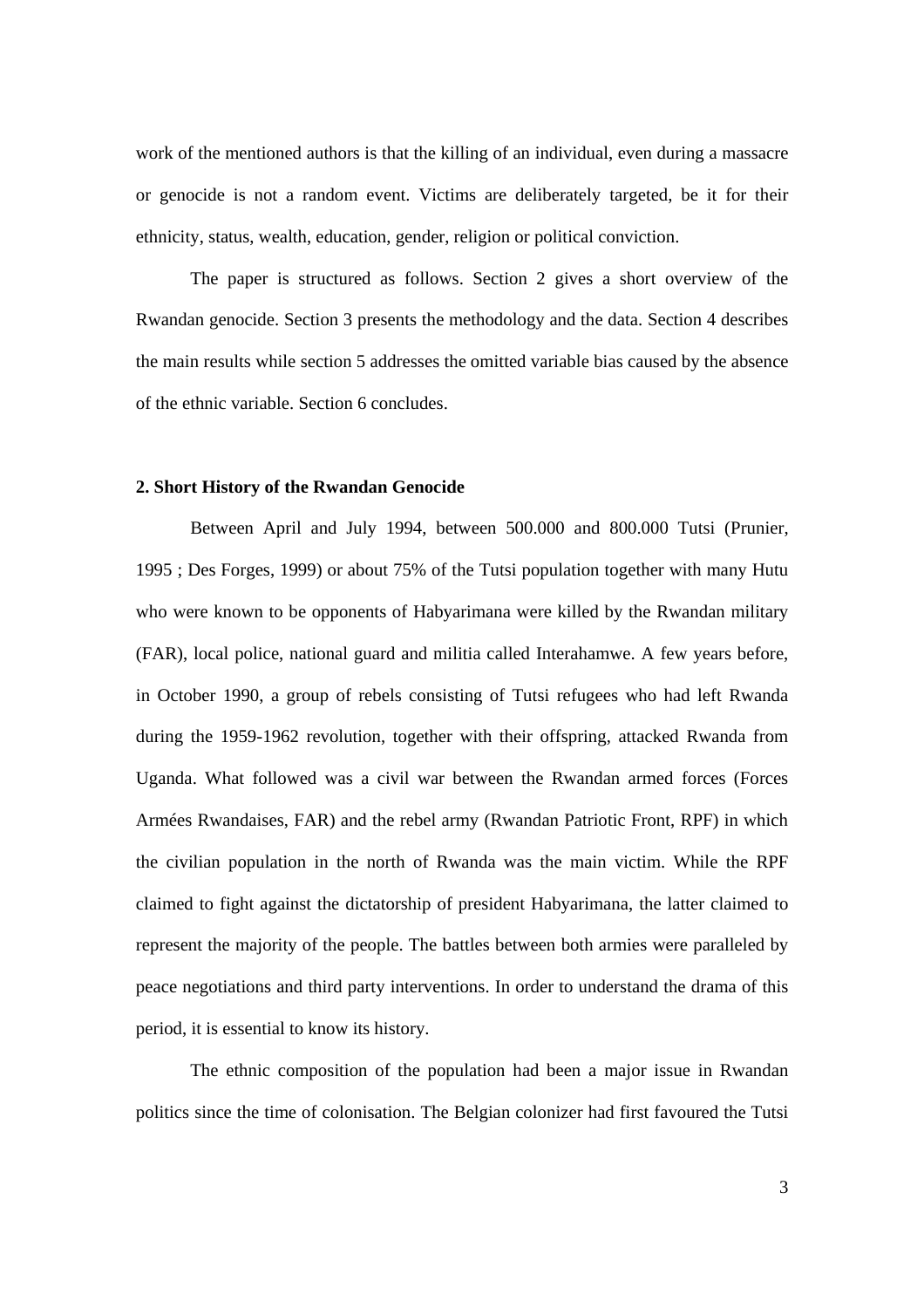work of the mentioned authors is that the killing of an individual, even during a massacre or genocide is not a random event. Victims are deliberately targeted, be it for their ethnicity, status, wealth, education, gender, religion or political conviction.

The paper is structured as follows. Section 2 gives a short overview of the Rwandan genocide. Section 3 presents the methodology and the data. Section 4 describes the main results while section 5 addresses the omitted variable bias caused by the absence of the ethnic variable. Section 6 concludes.

#### **2. Short History of the Rwandan Genocide**

Between April and July 1994, between 500.000 and 800.000 Tutsi (Prunier, 1995 ; Des Forges, 1999) or about 75% of the Tutsi population together with many Hutu who were known to be opponents of Habyarimana were killed by the Rwandan military (FAR), local police, national guard and militia called Interahamwe. A few years before, in October 1990, a group of rebels consisting of Tutsi refugees who had left Rwanda during the 1959-1962 revolution, together with their offspring, attacked Rwanda from Uganda. What followed was a civil war between the Rwandan armed forces (Forces Armées Rwandaises, FAR) and the rebel army (Rwandan Patriotic Front, RPF) in which the civilian population in the north of Rwanda was the main victim. While the RPF claimed to fight against the dictatorship of president Habyarimana, the latter claimed to represent the majority of the people. The battles between both armies were paralleled by peace negotiations and third party interventions. In order to understand the drama of this period, it is essential to know its history.

The ethnic composition of the population had been a major issue in Rwandan politics since the time of colonisation. The Belgian colonizer had first favoured the Tutsi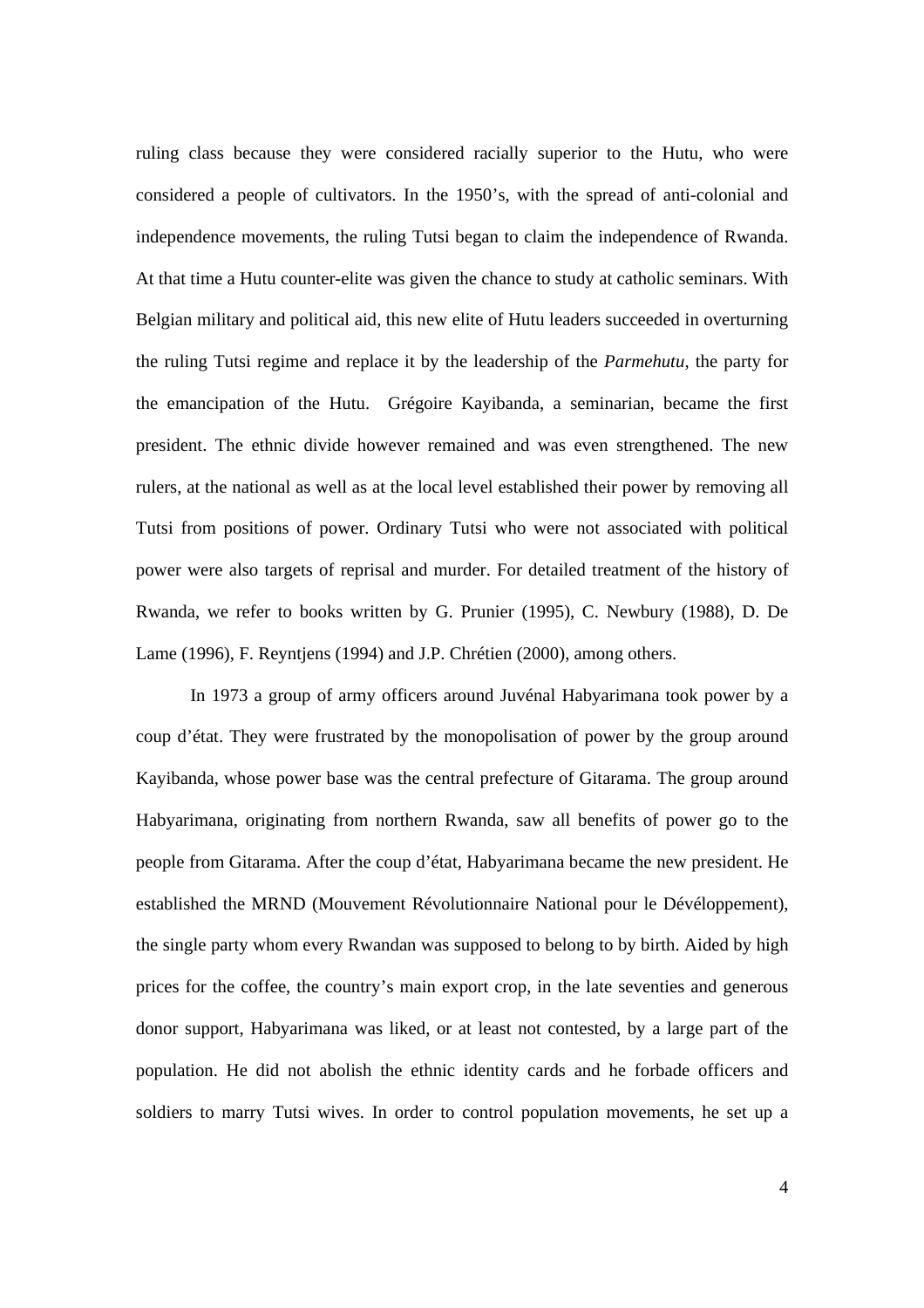ruling class because they were considered racially superior to the Hutu, who were considered a people of cultivators. In the 1950's, with the spread of anti-colonial and independence movements, the ruling Tutsi began to claim the independence of Rwanda. At that time a Hutu counter-elite was given the chance to study at catholic seminars. With Belgian military and political aid, this new elite of Hutu leaders succeeded in overturning the ruling Tutsi regime and replace it by the leadership of the *Parmehutu*, the party for the emancipation of the Hutu. Grégoire Kayibanda, a seminarian, became the first president. The ethnic divide however remained and was even strengthened. The new rulers, at the national as well as at the local level established their power by removing all Tutsi from positions of power. Ordinary Tutsi who were not associated with political power were also targets of reprisal and murder. For detailed treatment of the history of Rwanda, we refer to books written by G. Prunier (1995), C. Newbury (1988), D. De Lame (1996), F. Reyntjens (1994) and J.P. Chrétien (2000), among others.

In 1973 a group of army officers around Juvénal Habyarimana took power by a coup d'état. They were frustrated by the monopolisation of power by the group around Kayibanda, whose power base was the central prefecture of Gitarama. The group around Habyarimana, originating from northern Rwanda, saw all benefits of power go to the people from Gitarama. After the coup d'état, Habyarimana became the new president. He established the MRND (Mouvement Révolutionnaire National pour le Dévéloppement), the single party whom every Rwandan was supposed to belong to by birth. Aided by high prices for the coffee, the country's main export crop, in the late seventies and generous donor support, Habyarimana was liked, or at least not contested, by a large part of the population. He did not abolish the ethnic identity cards and he forbade officers and soldiers to marry Tutsi wives. In order to control population movements, he set up a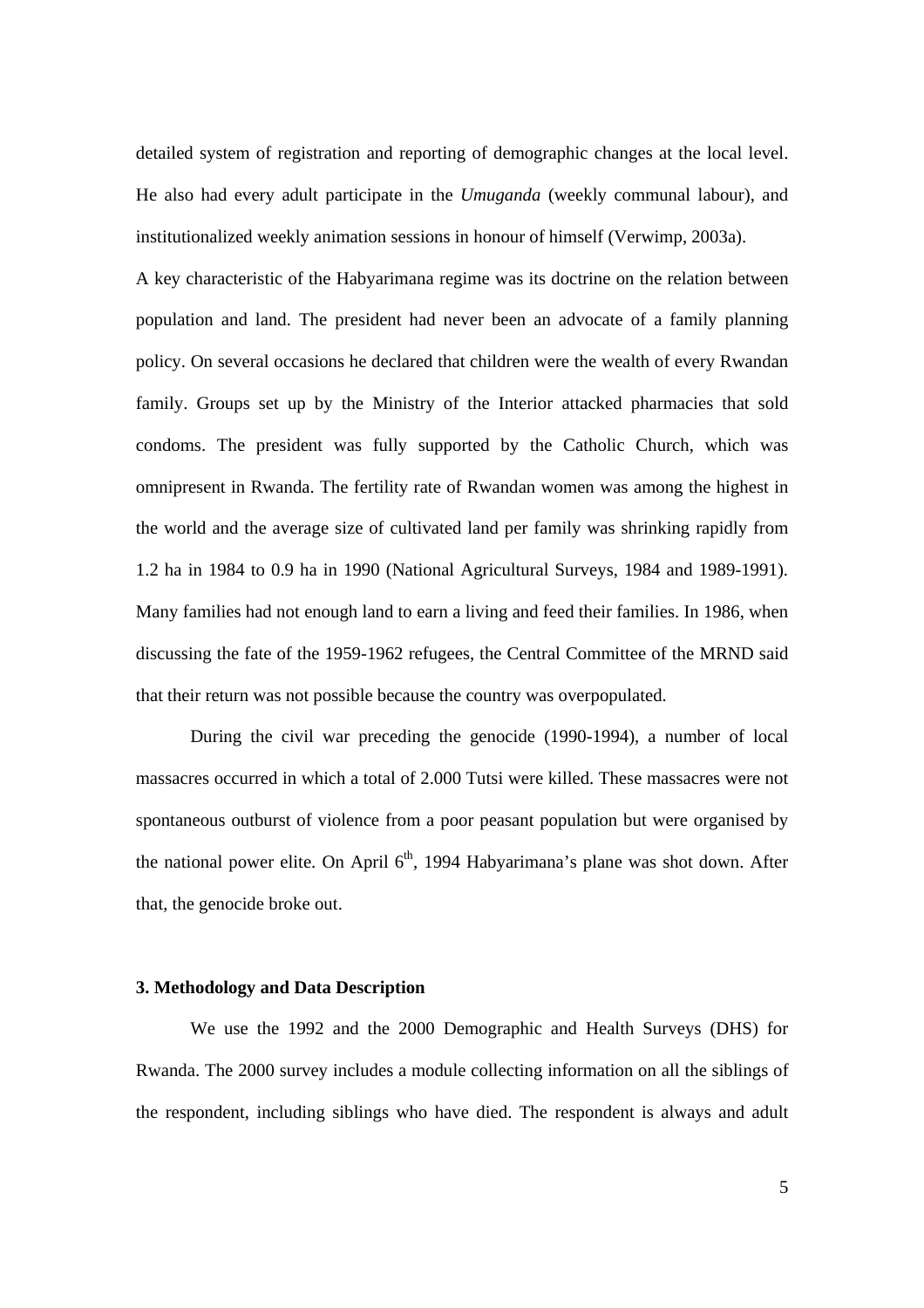detailed system of registration and reporting of demographic changes at the local level. He also had every adult participate in the *Umuganda* (weekly communal labour), and institutionalized weekly animation sessions in honour of himself (Verwimp, 2003a).

A key characteristic of the Habyarimana regime was its doctrine on the relation between population and land. The president had never been an advocate of a family planning policy. On several occasions he declared that children were the wealth of every Rwandan family. Groups set up by the Ministry of the Interior attacked pharmacies that sold condoms. The president was fully supported by the Catholic Church, which was omnipresent in Rwanda. The fertility rate of Rwandan women was among the highest in the world and the average size of cultivated land per family was shrinking rapidly from 1.2 ha in 1984 to 0.9 ha in 1990 (National Agricultural Surveys, 1984 and 1989-1991). Many families had not enough land to earn a living and feed their families. In 1986, when discussing the fate of the 1959-1962 refugees, the Central Committee of the MRND said that their return was not possible because the country was overpopulated.

During the civil war preceding the genocide (1990-1994), a number of local massacres occurred in which a total of 2.000 Tutsi were killed. These massacres were not spontaneous outburst of violence from a poor peasant population but were organised by the national power elite. On April  $6<sup>th</sup>$ , 1994 Habyarimana's plane was shot down. After that, the genocide broke out.

#### **3. Methodology and Data Description**

We use the 1992 and the 2000 Demographic and Health Surveys (DHS) for Rwanda. The 2000 survey includes a module collecting information on all the siblings of the respondent, including siblings who have died. The respondent is always and adult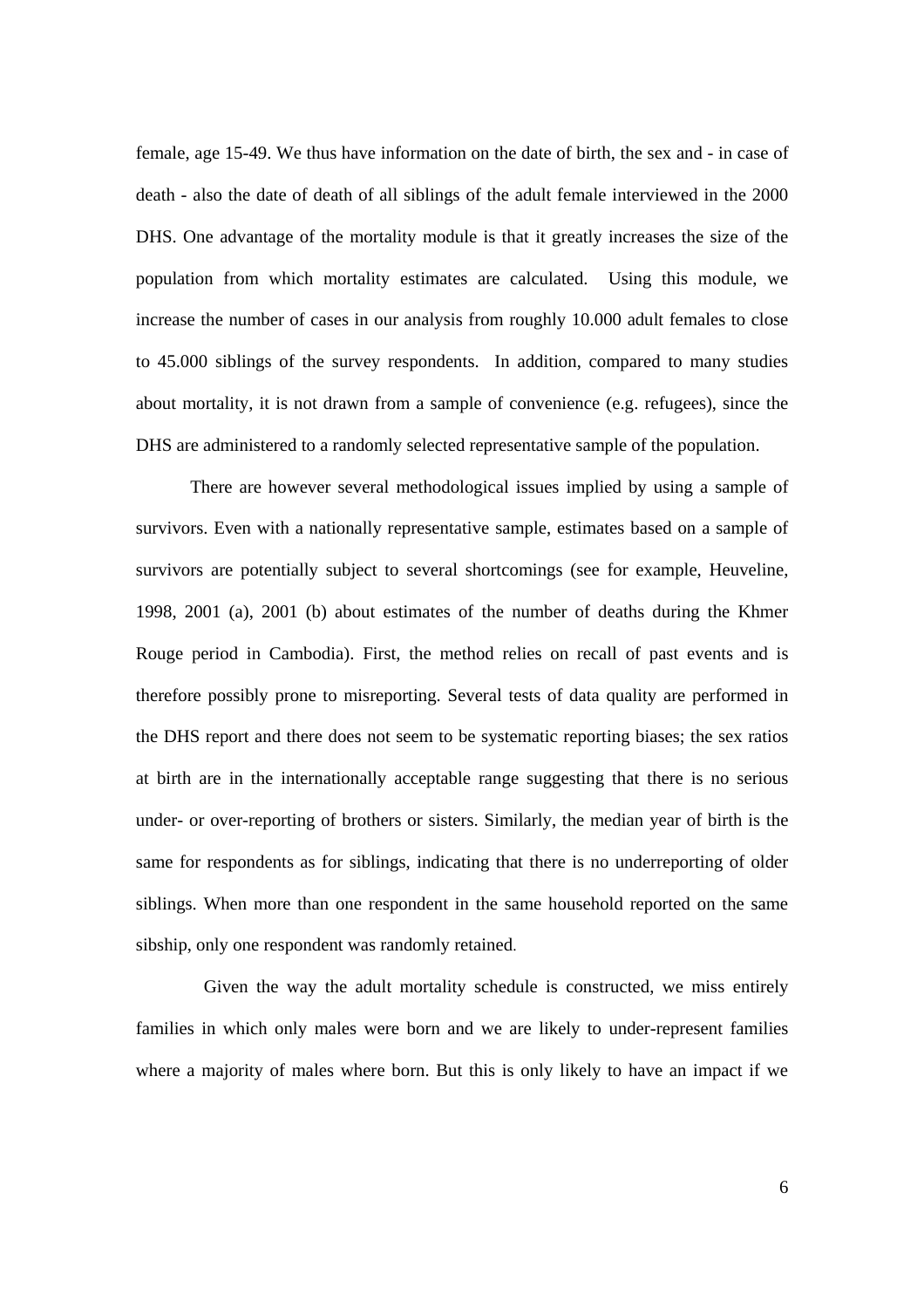female, age 15-49. We thus have information on the date of birth, the sex and - in case of death - also the date of death of all siblings of the adult female interviewed in the 2000 DHS. One advantage of the mortality module is that it greatly increases the size of the population from which mortality estimates are calculated. Using this module, we increase the number of cases in our analysis from roughly 10.000 adult females to close to 45.000 siblings of the survey respondents. In addition, compared to many studies about mortality, it is not drawn from a sample of convenience (e.g. refugees), since the DHS are administered to a randomly selected representative sample of the population.

There are however several methodological issues implied by using a sample of survivors. Even with a nationally representative sample, estimates based on a sample of survivors are potentially subject to several shortcomings (see for example, Heuveline, 1998, 2001 (a), 2001 (b) about estimates of the number of deaths during the Khmer Rouge period in Cambodia). First, the method relies on recall of past events and is therefore possibly prone to misreporting. Several tests of data quality are performed in the DHS report and there does not seem to be systematic reporting biases; the sex ratios at birth are in the internationally acceptable range suggesting that there is no serious under- or over-reporting of brothers or sisters. Similarly, the median year of birth is the same for respondents as for siblings, indicating that there is no underreporting of older siblings. When more than one respondent in the same household reported on the same sibship, only one respondent was randomly retained.

 Given the way the adult mortality schedule is constructed, we miss entirely families in which only males were born and we are likely to under-represent families where a majority of males where born. But this is only likely to have an impact if we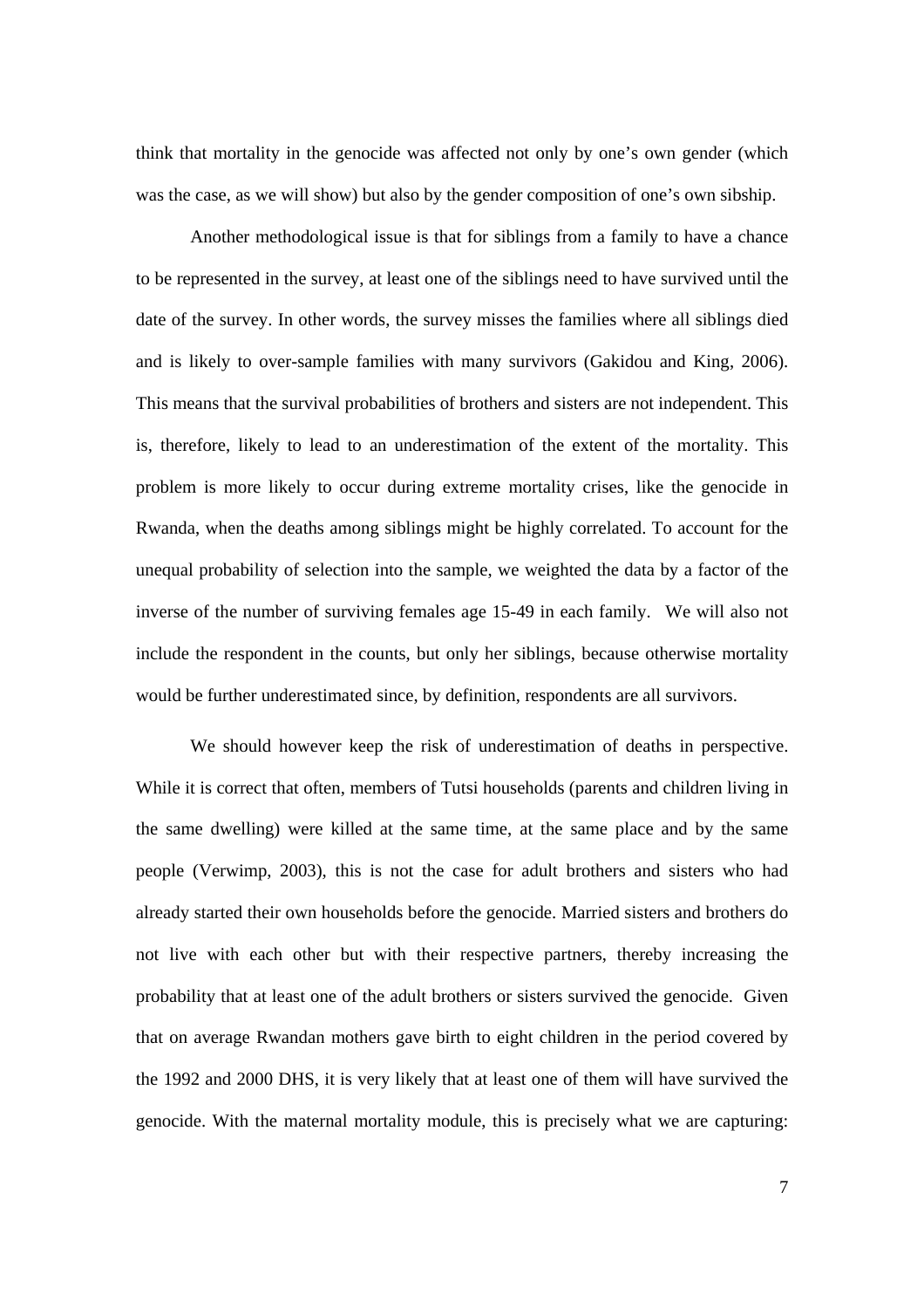think that mortality in the genocide was affected not only by one's own gender (which was the case, as we will show) but also by the gender composition of one's own sibship.

Another methodological issue is that for siblings from a family to have a chance to be represented in the survey, at least one of the siblings need to have survived until the date of the survey. In other words, the survey misses the families where all siblings died and is likely to over-sample families with many survivors (Gakidou and King, 2006). This means that the survival probabilities of brothers and sisters are not independent. This is, therefore, likely to lead to an underestimation of the extent of the mortality. This problem is more likely to occur during extreme mortality crises, like the genocide in Rwanda, when the deaths among siblings might be highly correlated. To account for the unequal probability of selection into the sample, we weighted the data by a factor of the inverse of the number of surviving females age 15-49 in each family. We will also not include the respondent in the counts, but only her siblings, because otherwise mortality would be further underestimated since, by definition, respondents are all survivors.

 We should however keep the risk of underestimation of deaths in perspective. While it is correct that often, members of Tutsi households (parents and children living in the same dwelling) were killed at the same time, at the same place and by the same people (Verwimp, 2003), this is not the case for adult brothers and sisters who had already started their own households before the genocide. Married sisters and brothers do not live with each other but with their respective partners, thereby increasing the probability that at least one of the adult brothers or sisters survived the genocide. Given that on average Rwandan mothers gave birth to eight children in the period covered by the 1992 and 2000 DHS, it is very likely that at least one of them will have survived the genocide. With the maternal mortality module, this is precisely what we are capturing: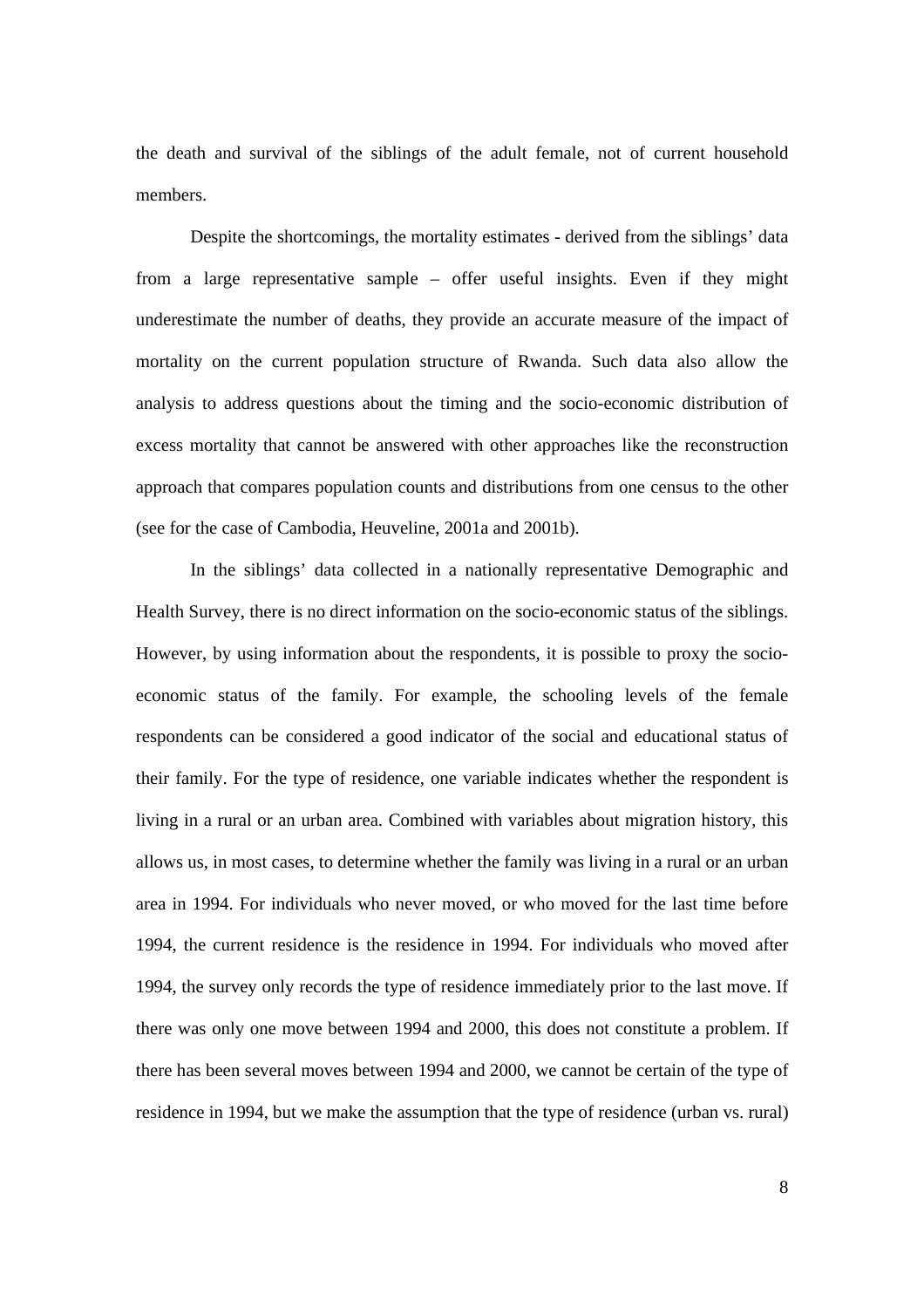the death and survival of the siblings of the adult female, not of current household members.

Despite the shortcomings, the mortality estimates - derived from the siblings' data from a large representative sample – offer useful insights. Even if they might underestimate the number of deaths, they provide an accurate measure of the impact of mortality on the current population structure of Rwanda. Such data also allow the analysis to address questions about the timing and the socio-economic distribution of excess mortality that cannot be answered with other approaches like the reconstruction approach that compares population counts and distributions from one census to the other (see for the case of Cambodia, Heuveline, 2001a and 2001b).

In the siblings' data collected in a nationally representative Demographic and Health Survey, there is no direct information on the socio-economic status of the siblings. However, by using information about the respondents, it is possible to proxy the socioeconomic status of the family. For example, the schooling levels of the female respondents can be considered a good indicator of the social and educational status of their family. For the type of residence, one variable indicates whether the respondent is living in a rural or an urban area. Combined with variables about migration history, this allows us, in most cases, to determine whether the family was living in a rural or an urban area in 1994. For individuals who never moved, or who moved for the last time before 1994, the current residence is the residence in 1994. For individuals who moved after 1994, the survey only records the type of residence immediately prior to the last move. If there was only one move between 1994 and 2000, this does not constitute a problem. If there has been several moves between 1994 and 2000, we cannot be certain of the type of residence in 1994, but we make the assumption that the type of residence (urban vs. rural)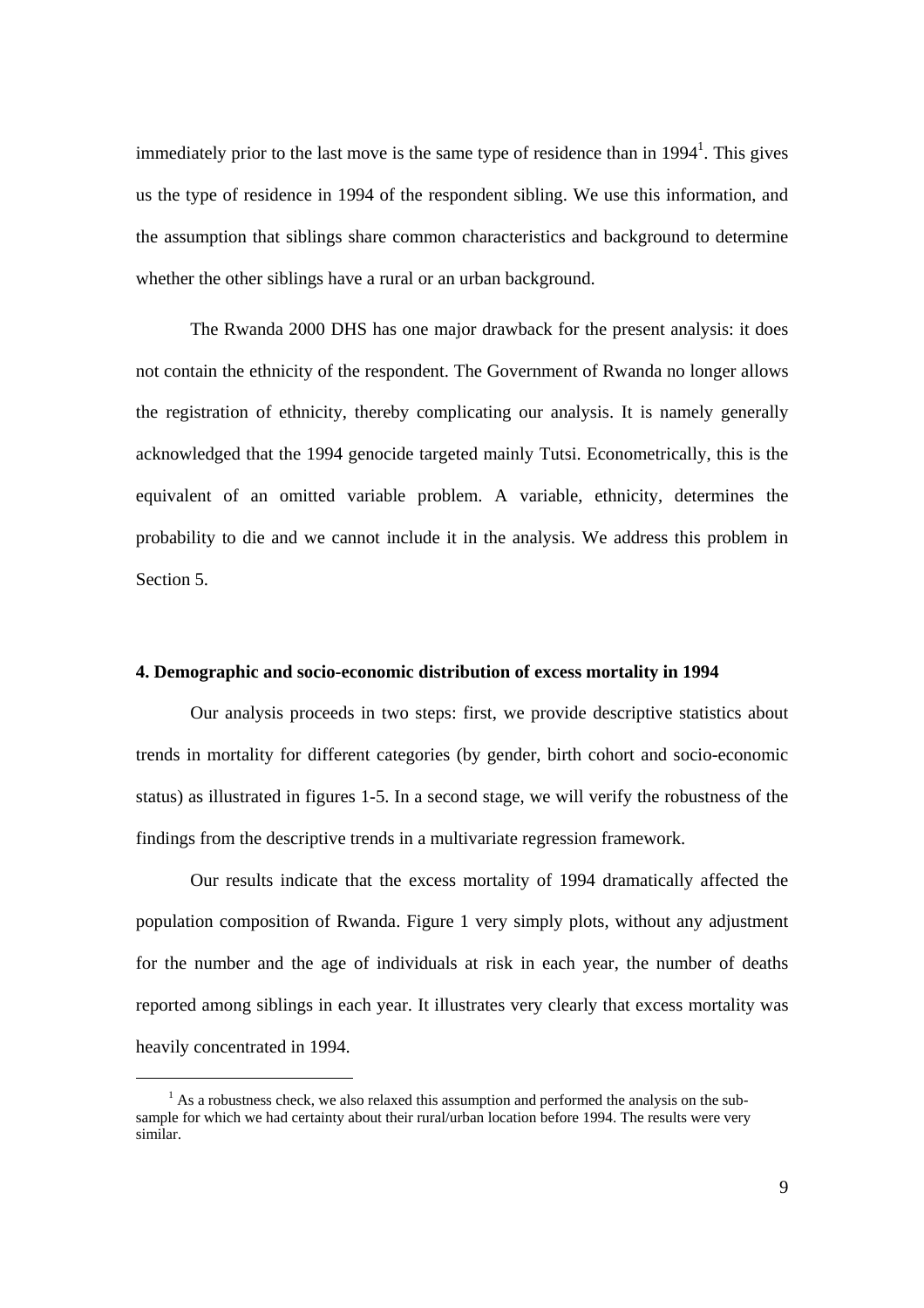immediately prior to the last move is the same type of residence than in  $1994<sup>1</sup>$ . This gives us the type of residence in 1994 of the respondent sibling. We use this information, and the assumption that siblings share common characteristics and background to determine whether the other siblings have a rural or an urban background.

The Rwanda 2000 DHS has one major drawback for the present analysis: it does not contain the ethnicity of the respondent. The Government of Rwanda no longer allows the registration of ethnicity, thereby complicating our analysis. It is namely generally acknowledged that the 1994 genocide targeted mainly Tutsi. Econometrically, this is the equivalent of an omitted variable problem. A variable, ethnicity, determines the probability to die and we cannot include it in the analysis. We address this problem in Section 5.

#### **4. Demographic and socio-economic distribution of excess mortality in 1994**

Our analysis proceeds in two steps: first, we provide descriptive statistics about trends in mortality for different categories (by gender, birth cohort and socio-economic status) as illustrated in figures 1-5. In a second stage, we will verify the robustness of the findings from the descriptive trends in a multivariate regression framework.

Our results indicate that the excess mortality of 1994 dramatically affected the population composition of Rwanda. Figure 1 very simply plots, without any adjustment for the number and the age of individuals at risk in each year, the number of deaths reported among siblings in each year. It illustrates very clearly that excess mortality was heavily concentrated in 1994.

 $\overline{\phantom{a}}$  $<sup>1</sup>$  As a robustness check, we also relaxed this assumption and performed the analysis on the sub-</sup> sample for which we had certainty about their rural/urban location before 1994. The results were very similar.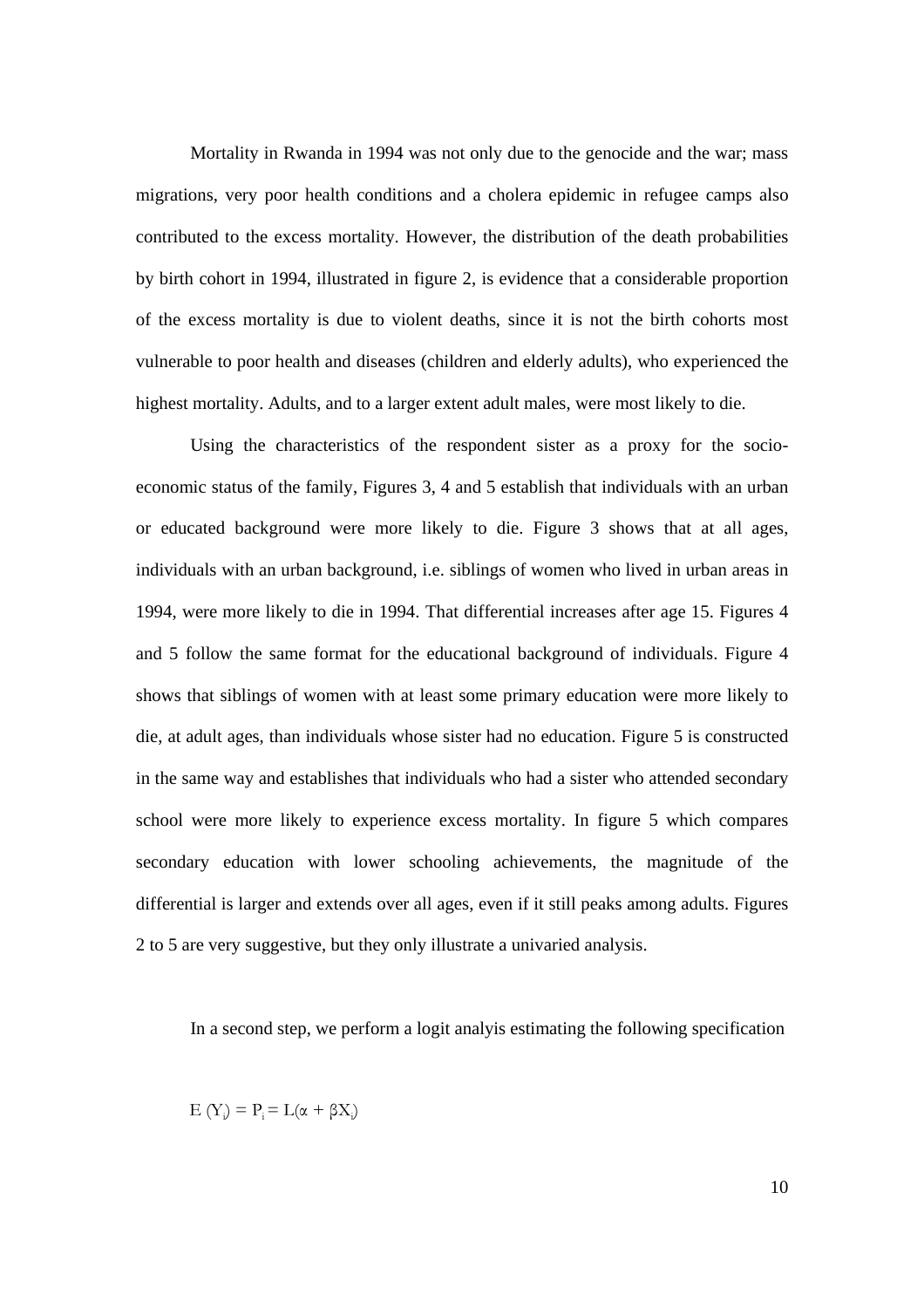Mortality in Rwanda in 1994 was not only due to the genocide and the war; mass migrations, very poor health conditions and a cholera epidemic in refugee camps also contributed to the excess mortality. However, the distribution of the death probabilities by birth cohort in 1994, illustrated in figure 2, is evidence that a considerable proportion of the excess mortality is due to violent deaths, since it is not the birth cohorts most vulnerable to poor health and diseases (children and elderly adults), who experienced the highest mortality. Adults, and to a larger extent adult males, were most likely to die.

Using the characteristics of the respondent sister as a proxy for the socioeconomic status of the family, Figures 3, 4 and 5 establish that individuals with an urban or educated background were more likely to die. Figure 3 shows that at all ages, individuals with an urban background, i.e. siblings of women who lived in urban areas in 1994, were more likely to die in 1994. That differential increases after age 15. Figures 4 and 5 follow the same format for the educational background of individuals. Figure 4 shows that siblings of women with at least some primary education were more likely to die, at adult ages, than individuals whose sister had no education. Figure 5 is constructed in the same way and establishes that individuals who had a sister who attended secondary school were more likely to experience excess mortality. In figure 5 which compares secondary education with lower schooling achievements, the magnitude of the differential is larger and extends over all ages, even if it still peaks among adults. Figures 2 to 5 are very suggestive, but they only illustrate a univaried analysis.

In a second step, we perform a logit analyis estimating the following specification

$$
E(Y_i) = P_i = L(\alpha + \beta X_i)
$$

10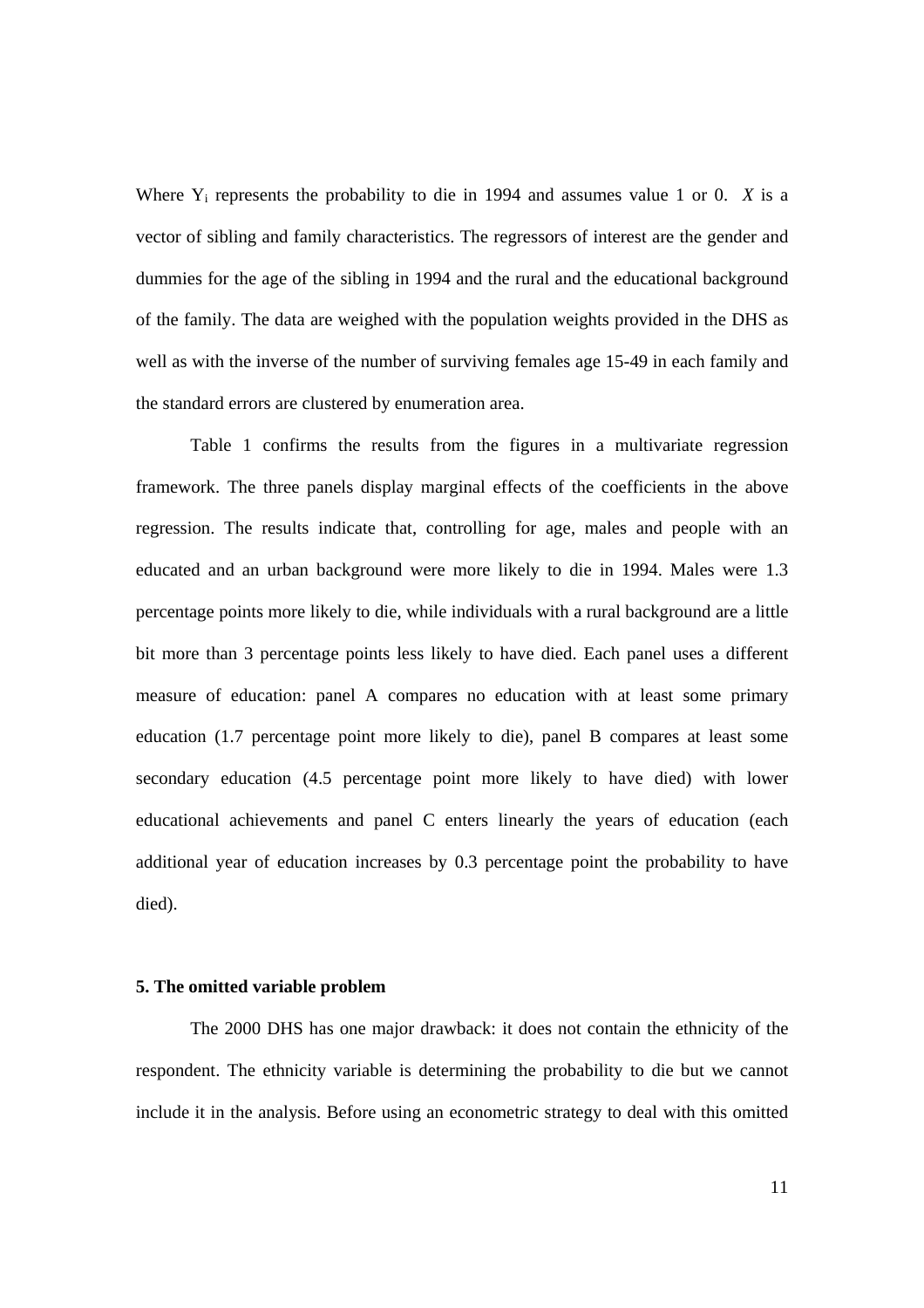Where  $Y_i$  represents the probability to die in 1994 and assumes value 1 or 0. *X* is a vector of sibling and family characteristics. The regressors of interest are the gender and dummies for the age of the sibling in 1994 and the rural and the educational background of the family. The data are weighed with the population weights provided in the DHS as well as with the inverse of the number of surviving females age 15-49 in each family and the standard errors are clustered by enumeration area.

Table 1 confirms the results from the figures in a multivariate regression framework. The three panels display marginal effects of the coefficients in the above regression. The results indicate that, controlling for age, males and people with an educated and an urban background were more likely to die in 1994. Males were 1.3 percentage points more likely to die, while individuals with a rural background are a little bit more than 3 percentage points less likely to have died. Each panel uses a different measure of education: panel A compares no education with at least some primary education (1.7 percentage point more likely to die), panel B compares at least some secondary education (4.5 percentage point more likely to have died) with lower educational achievements and panel C enters linearly the years of education (each additional year of education increases by 0.3 percentage point the probability to have died).

#### **5. The omitted variable problem**

The 2000 DHS has one major drawback: it does not contain the ethnicity of the respondent. The ethnicity variable is determining the probability to die but we cannot include it in the analysis. Before using an econometric strategy to deal with this omitted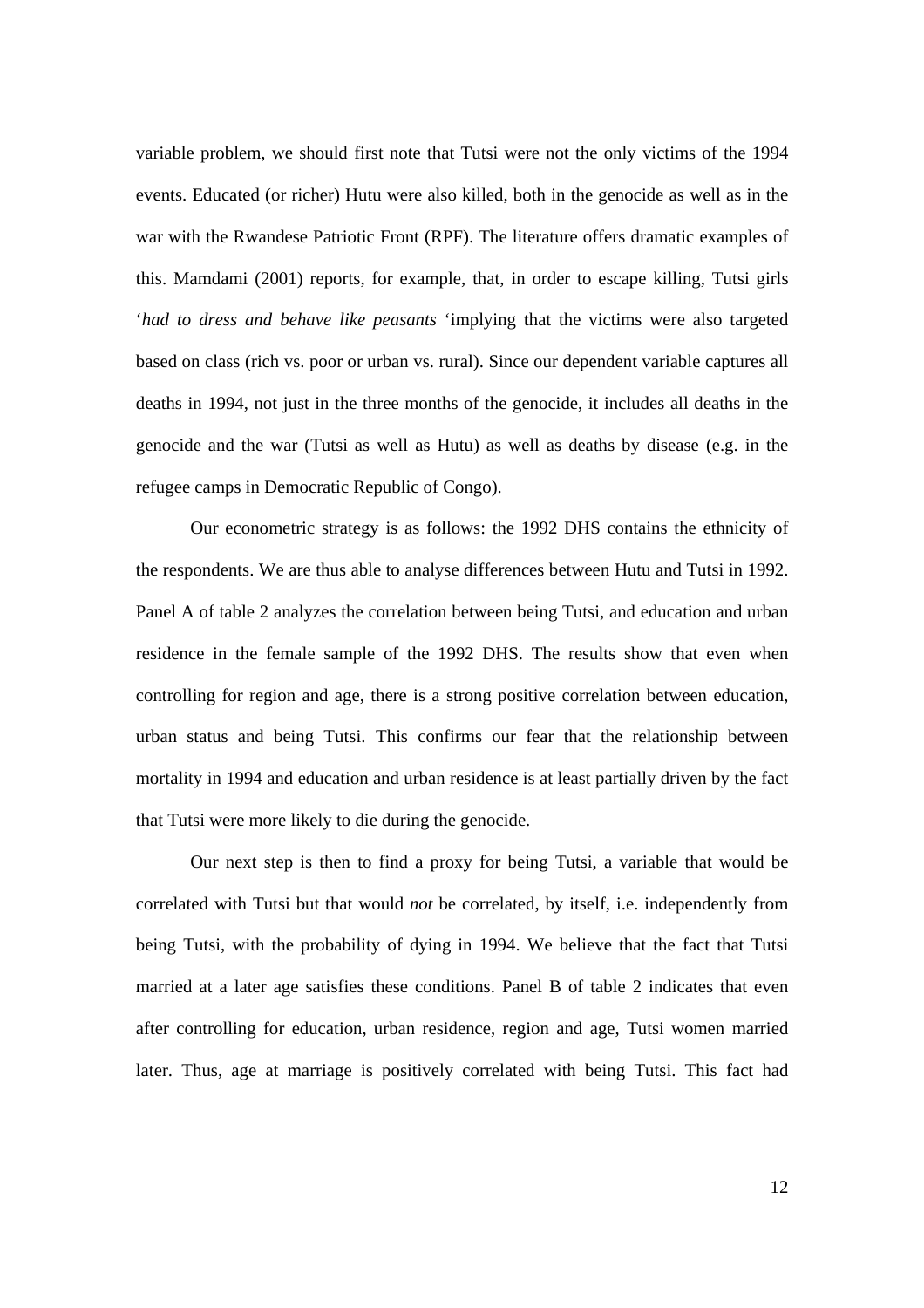variable problem, we should first note that Tutsi were not the only victims of the 1994 events. Educated (or richer) Hutu were also killed, both in the genocide as well as in the war with the Rwandese Patriotic Front (RPF). The literature offers dramatic examples of this. Mamdami (2001) reports, for example, that, in order to escape killing, Tutsi girls '*had to dress and behave like peasants* 'implying that the victims were also targeted based on class (rich vs. poor or urban vs. rural). Since our dependent variable captures all deaths in 1994, not just in the three months of the genocide, it includes all deaths in the genocide and the war (Tutsi as well as Hutu) as well as deaths by disease (e.g. in the refugee camps in Democratic Republic of Congo).

Our econometric strategy is as follows: the 1992 DHS contains the ethnicity of the respondents. We are thus able to analyse differences between Hutu and Tutsi in 1992. Panel A of table 2 analyzes the correlation between being Tutsi, and education and urban residence in the female sample of the 1992 DHS. The results show that even when controlling for region and age, there is a strong positive correlation between education, urban status and being Tutsi. This confirms our fear that the relationship between mortality in 1994 and education and urban residence is at least partially driven by the fact that Tutsi were more likely to die during the genocide.

Our next step is then to find a proxy for being Tutsi, a variable that would be correlated with Tutsi but that would *not* be correlated, by itself, i.e. independently from being Tutsi, with the probability of dying in 1994. We believe that the fact that Tutsi married at a later age satisfies these conditions. Panel B of table 2 indicates that even after controlling for education, urban residence, region and age, Tutsi women married later. Thus, age at marriage is positively correlated with being Tutsi. This fact had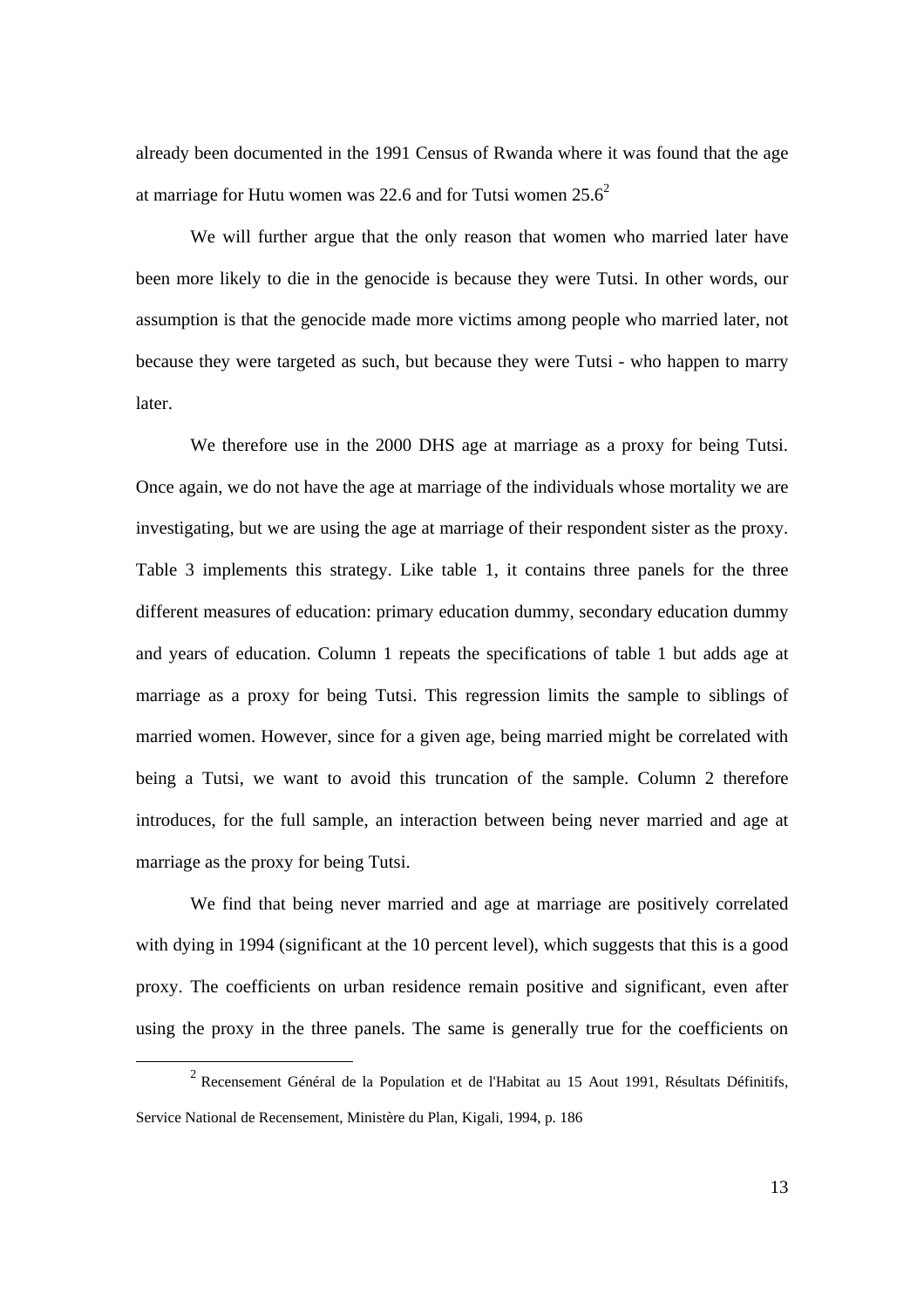already been documented in the 1991 Census of Rwanda where it was found that the age at marriage for Hutu women was 22.6 and for Tutsi women  $25.6^2$ 

We will further argue that the only reason that women who married later have been more likely to die in the genocide is because they were Tutsi. In other words, our assumption is that the genocide made more victims among people who married later, not because they were targeted as such, but because they were Tutsi - who happen to marry later.

We therefore use in the 2000 DHS age at marriage as a proxy for being Tutsi. Once again, we do not have the age at marriage of the individuals whose mortality we are investigating, but we are using the age at marriage of their respondent sister as the proxy. Table 3 implements this strategy. Like table 1, it contains three panels for the three different measures of education: primary education dummy, secondary education dummy and years of education. Column 1 repeats the specifications of table 1 but adds age at marriage as a proxy for being Tutsi. This regression limits the sample to siblings of married women. However, since for a given age, being married might be correlated with being a Tutsi, we want to avoid this truncation of the sample. Column 2 therefore introduces, for the full sample, an interaction between being never married and age at marriage as the proxy for being Tutsi.

We find that being never married and age at marriage are positively correlated with dying in 1994 (significant at the 10 percent level), which suggests that this is a good proxy. The coefficients on urban residence remain positive and significant, even after using the proxy in the three panels. The same is generally true for the coefficients on

 $2$  Recensement Général de la Population et de l'Habitat au 15 Aout 1991, Résultats Définitifs, Service National de Recensement, Ministère du Plan, Kigali, 1994, p. 186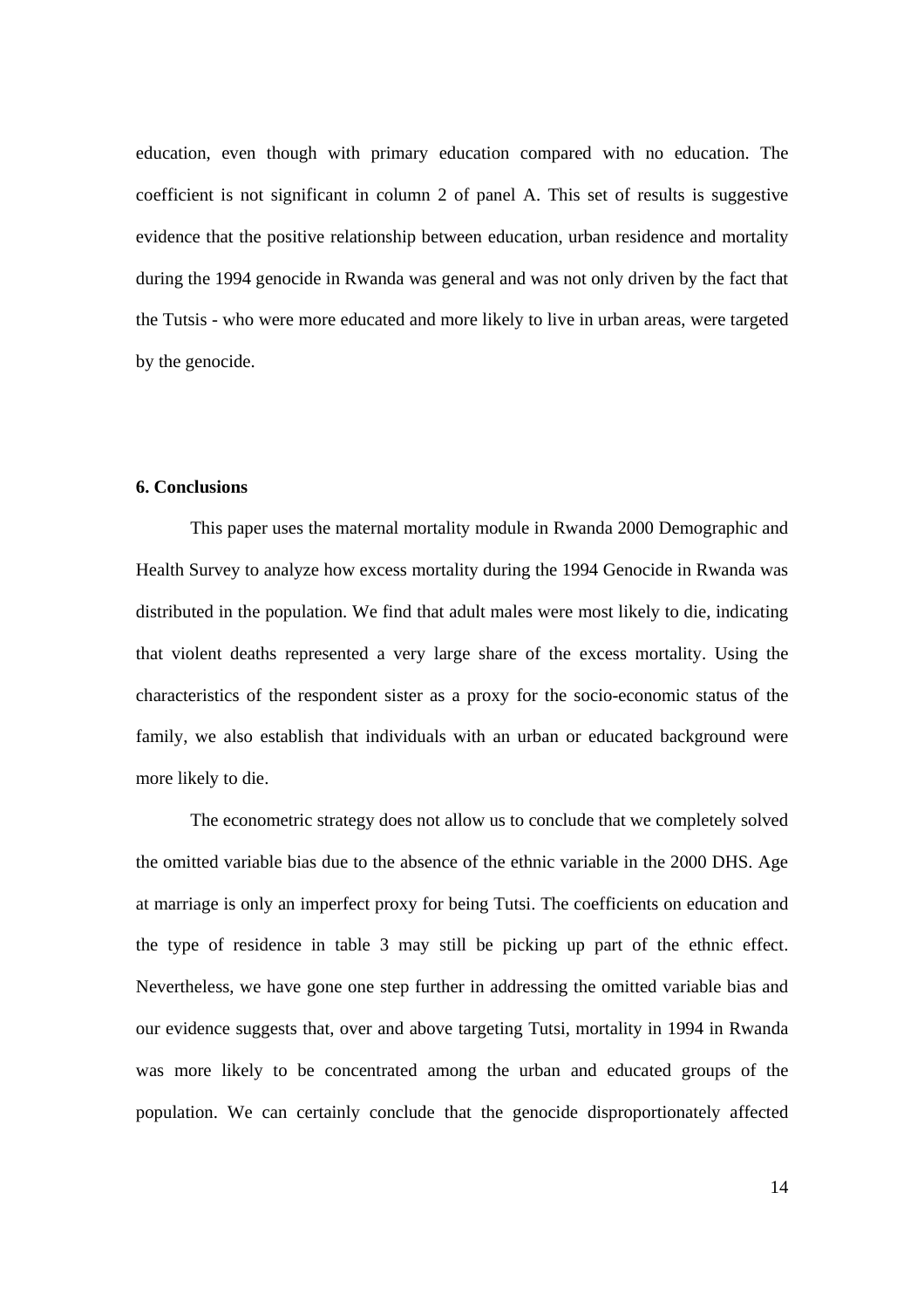education, even though with primary education compared with no education. The coefficient is not significant in column 2 of panel A. This set of results is suggestive evidence that the positive relationship between education, urban residence and mortality during the 1994 genocide in Rwanda was general and was not only driven by the fact that the Tutsis - who were more educated and more likely to live in urban areas, were targeted by the genocide.

#### **6. Conclusions**

This paper uses the maternal mortality module in Rwanda 2000 Demographic and Health Survey to analyze how excess mortality during the 1994 Genocide in Rwanda was distributed in the population. We find that adult males were most likely to die, indicating that violent deaths represented a very large share of the excess mortality. Using the characteristics of the respondent sister as a proxy for the socio-economic status of the family, we also establish that individuals with an urban or educated background were more likely to die.

The econometric strategy does not allow us to conclude that we completely solved the omitted variable bias due to the absence of the ethnic variable in the 2000 DHS. Age at marriage is only an imperfect proxy for being Tutsi. The coefficients on education and the type of residence in table 3 may still be picking up part of the ethnic effect. Nevertheless, we have gone one step further in addressing the omitted variable bias and our evidence suggests that, over and above targeting Tutsi, mortality in 1994 in Rwanda was more likely to be concentrated among the urban and educated groups of the population. We can certainly conclude that the genocide disproportionately affected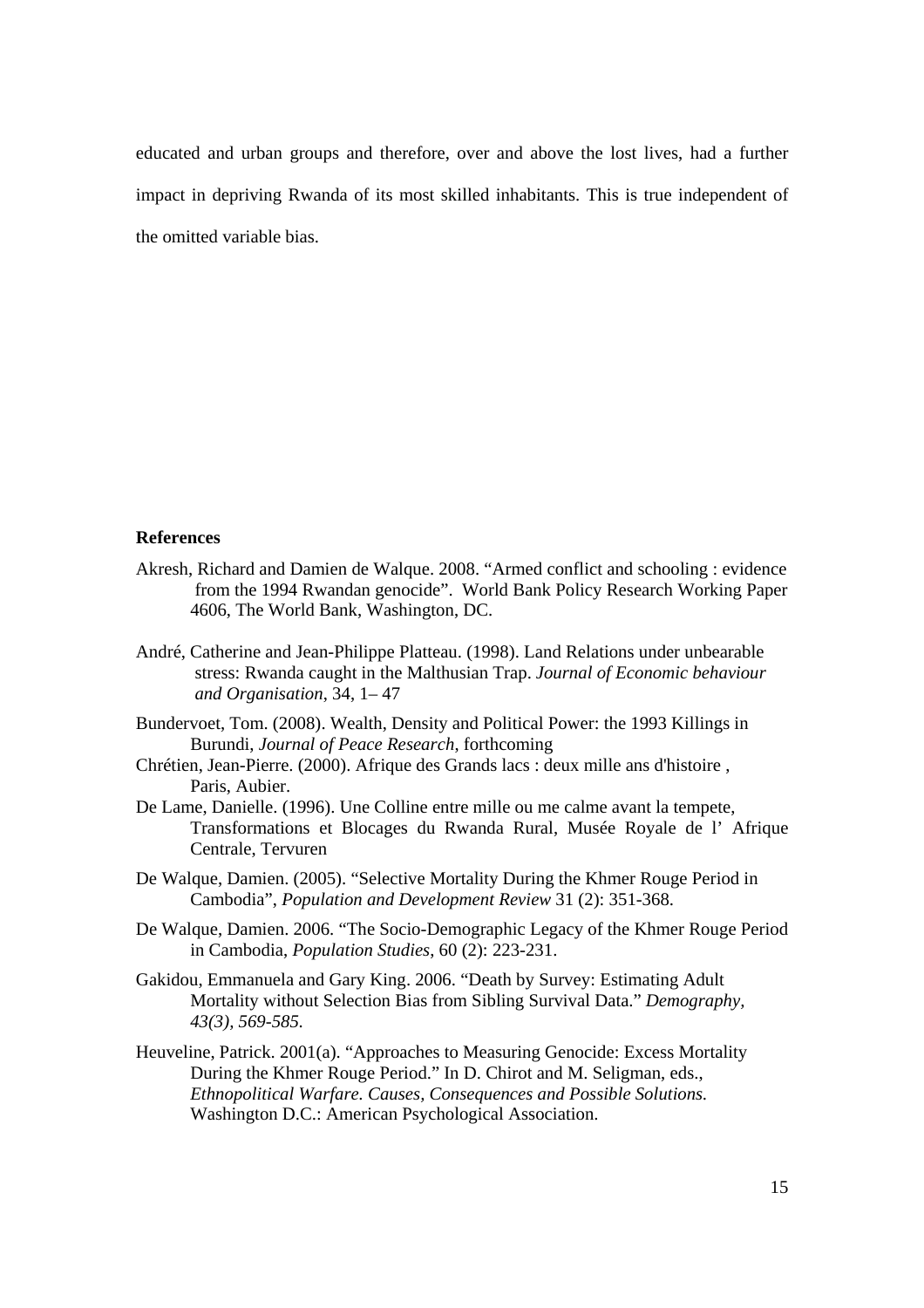educated and urban groups and therefore, over and above the lost lives, had a further impact in depriving Rwanda of its most skilled inhabitants. This is true independent of the omitted variable bias.

#### **References**

- Akresh, Richard and Damien de Walque. 2008. "Armed conflict and schooling : evidence from the 1994 Rwandan genocide". World Bank Policy Research Working Paper 4606, The World Bank, Washington, DC.
- André, Catherine and Jean-Philippe Platteau. (1998). Land Relations under unbearable stress: Rwanda caught in the Malthusian Trap. *Journal of Economic behaviour and Organisation*, 34, 1– 47
- Bundervoet, Tom. (2008). Wealth, Density and Political Power: the 1993 Killings in Burundi, *Journal of Peace Research*, forthcoming
- Chrétien, Jean-Pierre. (2000). Afrique des Grands lacs : deux mille ans d'histoire , Paris, Aubier.
- De Lame, Danielle. (1996). Une Colline entre mille ou me calme avant la tempete, Transformations et Blocages du Rwanda Rural, Musée Royale de l' Afrique Centrale, Tervuren
- De Walque, Damien. (2005). "Selective Mortality During the Khmer Rouge Period in Cambodia", *Population and Development Review* 31 (2): 351-368.
- De Walque, Damien. 2006. "The Socio-Demographic Legacy of the Khmer Rouge Period in Cambodia, *Population Studies*, 60 (2): 223-231.
- Gakidou, Emmanuela and Gary King. 2006. "Death by Survey: Estimating Adult Mortality without Selection Bias from Sibling Survival Data." *Demography, 43(3), 569-585.*
- Heuveline, Patrick. 2001(a). "Approaches to Measuring Genocide: Excess Mortality During the Khmer Rouge Period." In D. Chirot and M. Seligman, eds., *Ethnopolitical Warfare. Causes, Consequences and Possible Solutions.*  Washington D.C.: American Psychological Association.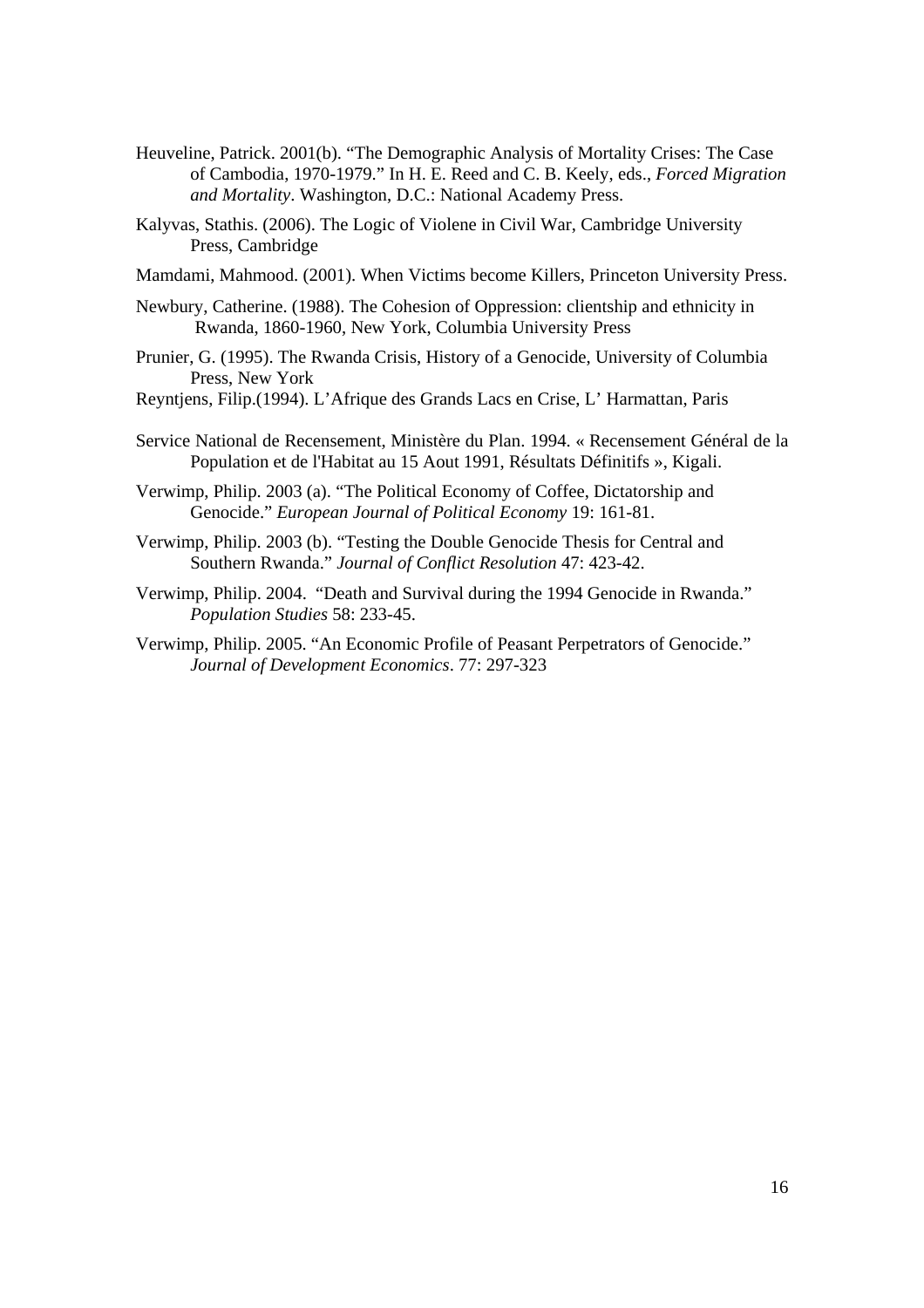- Heuveline, Patrick. 2001(b). "The Demographic Analysis of Mortality Crises: The Case of Cambodia, 1970-1979." In H. E. Reed and C. B. Keely, eds., *Forced Migration and Mortality*. Washington, D.C.: National Academy Press.
- Kalyvas, Stathis. (2006). The Logic of Violene in Civil War, Cambridge University Press, Cambridge
- Mamdami, Mahmood. (2001). When Victims become Killers, Princeton University Press.
- Newbury, Catherine. (1988). The Cohesion of Oppression: clientship and ethnicity in Rwanda, 1860-1960, New York, Columbia University Press
- Prunier, G. (1995). The Rwanda Crisis, History of a Genocide, University of Columbia Press, New York
- Reyntjens, Filip.(1994). L'Afrique des Grands Lacs en Crise, L' Harmattan, Paris
- Service National de Recensement, Ministère du Plan. 1994. « Recensement Général de la Population et de l'Habitat au 15 Aout 1991, Résultats Définitifs », Kigali.
- Verwimp, Philip. 2003 (a). "The Political Economy of Coffee, Dictatorship and Genocide." *European Journal of Political Economy* 19: 161-81.
- Verwimp, Philip. 2003 (b). "Testing the Double Genocide Thesis for Central and Southern Rwanda." *Journal of Conflict Resolution* 47: 423-42.
- Verwimp, Philip. 2004. "Death and Survival during the 1994 Genocide in Rwanda." *Population Studies* 58: 233-45.
- Verwimp, Philip. 2005. "An Economic Profile of Peasant Perpetrators of Genocide." *Journal of Development Economics*. 77: 297-323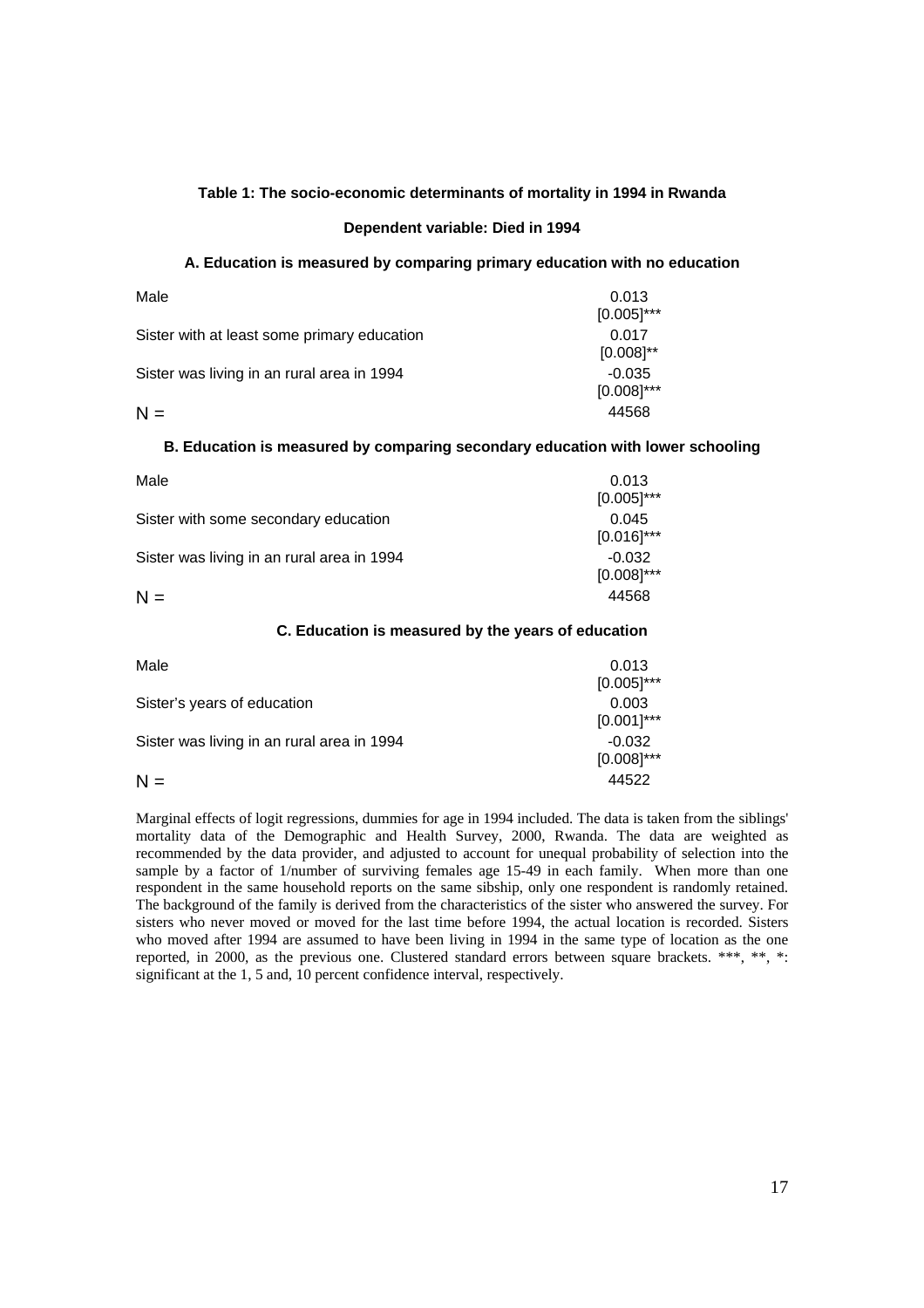#### **Table 1: The socio-economic determinants of mortality in 1994 in Rwanda**

#### **Dependent variable: Died in 1994**

#### **A. Education is measured by comparing primary education with no education**

| Male                                        | 0.013                     |
|---------------------------------------------|---------------------------|
| Sister with at least some primary education | $[0.005]$ ***<br>0.017    |
|                                             | $[0.008]^{**}$            |
| Sister was living in an rural area in 1994  | $-0.035$<br>$[0.008]$ *** |
| $N =$                                       | 44568                     |

#### **B. Education is measured by comparing secondary education with lower schooling**

| Male                                       | 0.013<br>$[0.005]$ ***      |
|--------------------------------------------|-----------------------------|
| Sister with some secondary education       | 0.045<br>$[0.016]^{***}$    |
| Sister was living in an rural area in 1994 | $-0.032$<br>$[0.008]^{***}$ |
| $N =$                                      | 44568                       |

#### **C. Education is measured by the years of education**

| Male                                       | 0.013<br>$[0.005]$ ***      |
|--------------------------------------------|-----------------------------|
| Sister's years of education                | 0.003<br>$[0.001]$ ***      |
| Sister was living in an rural area in 1994 | $-0.032$<br>$[0.008]^{***}$ |
| $N =$                                      | 44522                       |

Marginal effects of logit regressions, dummies for age in 1994 included. The data is taken from the siblings' mortality data of the Demographic and Health Survey, 2000, Rwanda. The data are weighted as recommended by the data provider, and adjusted to account for unequal probability of selection into the sample by a factor of 1/number of surviving females age 15-49 in each family. When more than one respondent in the same household reports on the same sibship, only one respondent is randomly retained. The background of the family is derived from the characteristics of the sister who answered the survey. For sisters who never moved or moved for the last time before 1994, the actual location is recorded. Sisters who moved after 1994 are assumed to have been living in 1994 in the same type of location as the one reported, in 2000, as the previous one. Clustered standard errors between square brackets. \*\*\*, \*\*, \*: significant at the 1, 5 and, 10 percent confidence interval, respectively.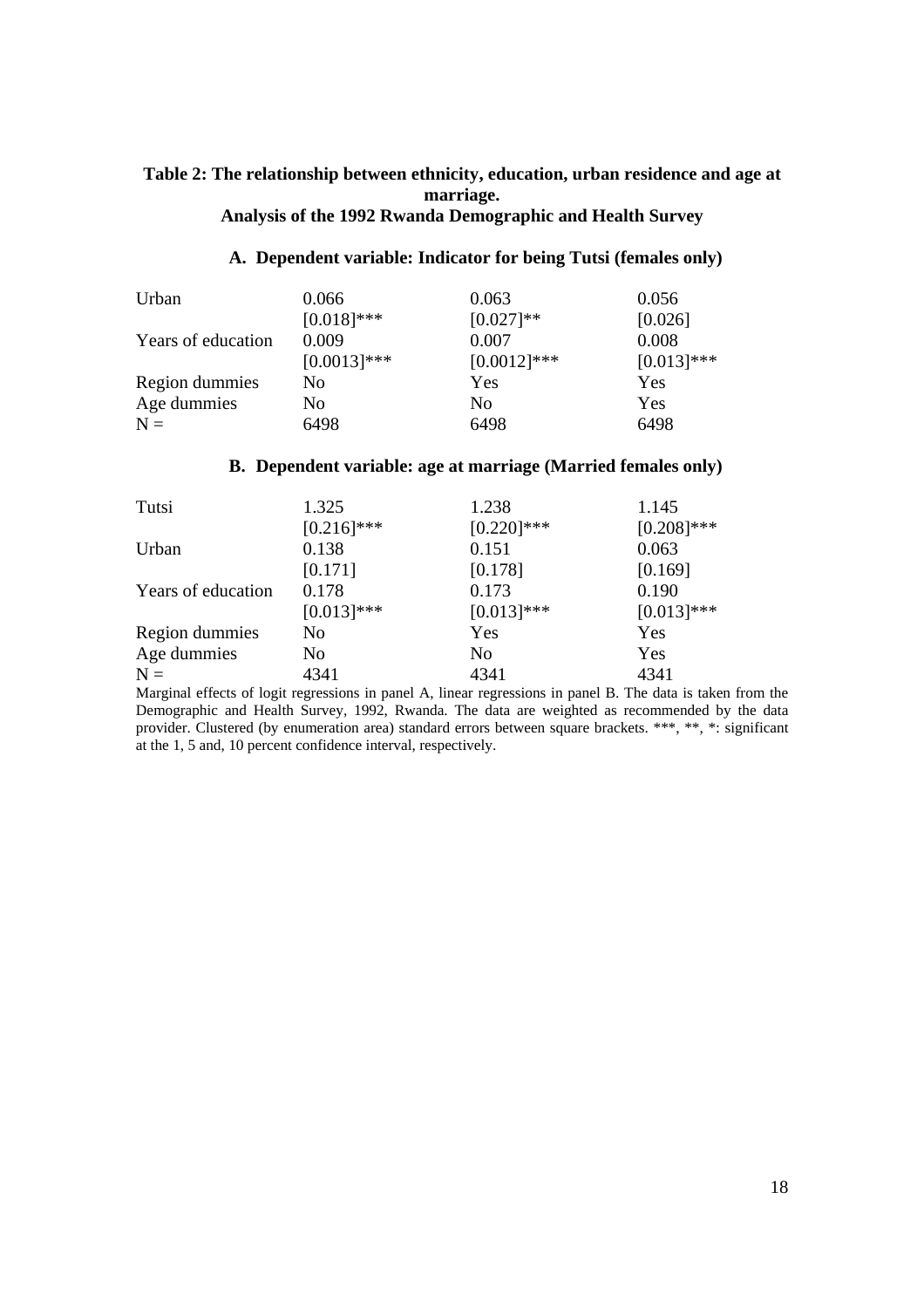### **Table 2: The relationship between ethnicity, education, urban residence and age at marriage.**

## **Analysis of the 1992 Rwanda Demographic and Health Survey**

#### **A. Dependent variable: Indicator for being Tutsi (females only)**

| Urban              | 0.066          | 0.063          | 0.056         |
|--------------------|----------------|----------------|---------------|
|                    | $[0.018]$ ***  | $[0.027]**$    | [0.026]       |
| Years of education | 0.009          | 0.007          | 0.008         |
|                    | $[0.0013]***$  | $[0.0012]***$  | $[0.013]$ *** |
| Region dummies     | N <sub>0</sub> | Yes            | Yes           |
| Age dummies        | N <sub>0</sub> | N <sub>0</sub> | Yes           |
| $N =$              | 6498           | 6498           | 6498          |

#### **B. Dependent variable: age at marriage (Married females only)**

| Tutsi              | 1.325         | 1.238          | 1.145         |
|--------------------|---------------|----------------|---------------|
|                    | $[0.216]$ *** | $[0.220]$ ***  | $[0.208]$ *** |
| Urban              | 0.138         | 0.151          | 0.063         |
|                    | [0.171]       | [0.178]        | [0.169]       |
| Years of education | 0.178         | 0.173          | 0.190         |
|                    | $[0.013]***$  | $[0.013]$ ***  | $[0.013]$ *** |
| Region dummies     | No            | <b>Yes</b>     | Yes           |
| Age dummies        | No            | N <sub>0</sub> | Yes           |
| $N =$              | 4341          | 4341           | 4341          |

Marginal effects of logit regressions in panel A, linear regressions in panel B. The data is taken from the Demographic and Health Survey, 1992, Rwanda. The data are weighted as recommended by the data provider. Clustered (by enumeration area) standard errors between square brackets. \*\*\*, \*\*, \*\*: significant at the 1, 5 and, 10 percent confidence interval, respectively.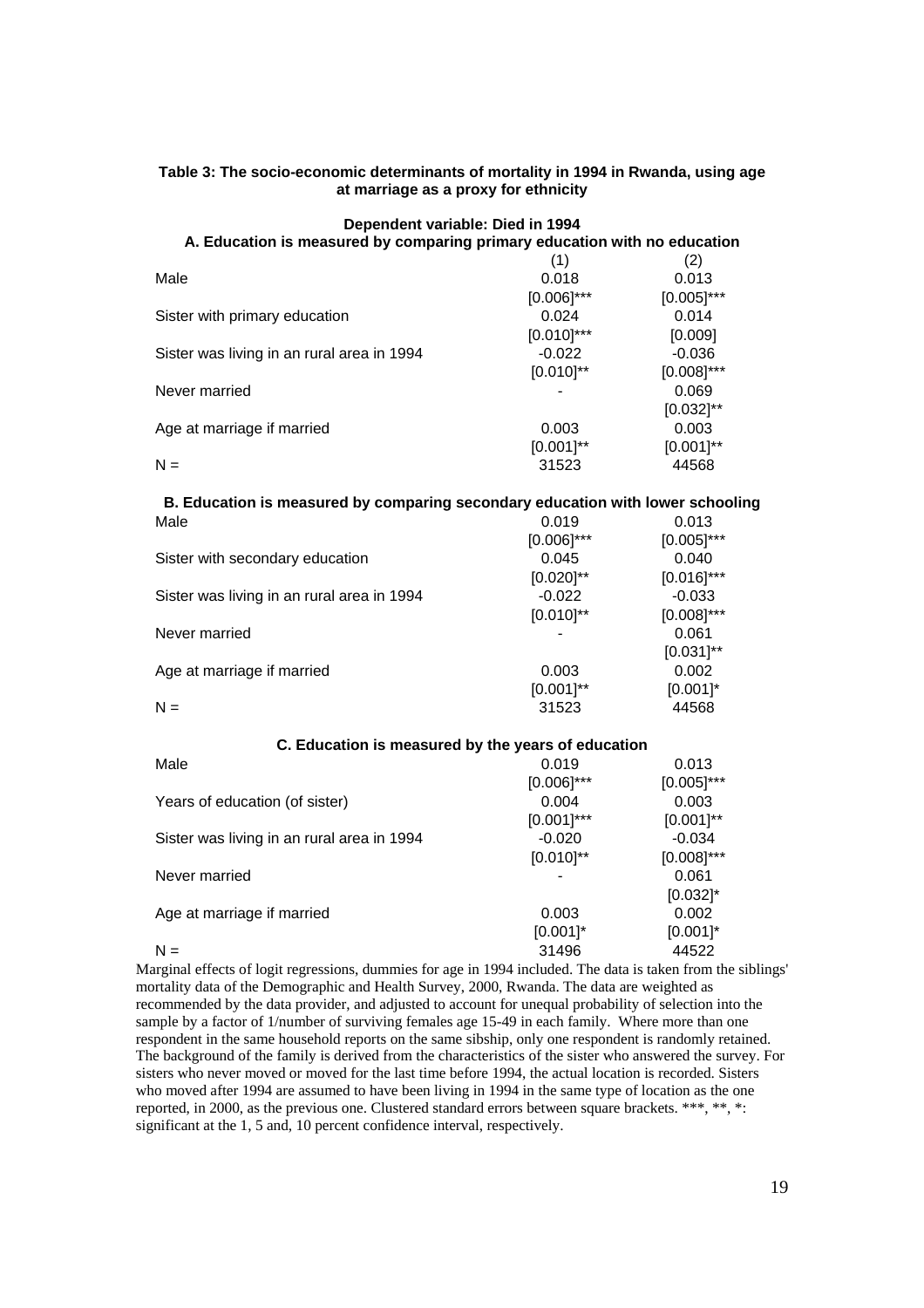#### **Table 3: The socio-economic determinants of mortality in 1994 in Rwanda, using age at marriage as a proxy for ethnicity**

#### **Dependent variable: Died in 1994 A. Education is measured by comparing primary education with no education**

|                                            | (1)            | (2)            |
|--------------------------------------------|----------------|----------------|
| Male                                       | 0.018          | 0.013          |
|                                            | $[0.006]$ ***  | $[0.005]$ ***  |
| Sister with primary education              | 0.024          | 0.014          |
|                                            | $[0.010]$ ***  | [0.009]        |
| Sister was living in an rural area in 1994 | $-0.022$       | $-0.036$       |
|                                            | $[0.010]^{**}$ | $[0.008]$ ***  |
| Never married                              |                | 0.069          |
|                                            |                | $[0.032]^{**}$ |
| Age at marriage if married                 | 0.003          | 0.003          |
|                                            | $[0.001]^{**}$ | $[0.001]^{**}$ |
| $N =$                                      | 31523          | 44568          |

## **B. Education is measured by comparing secondary education with lower schooling**<br>Male 0.013

| Male                                       | 0.019          | 0.013           |
|--------------------------------------------|----------------|-----------------|
|                                            | $[0.006]$ ***  | $[0.005]$ ***   |
| Sister with secondary education            | 0.045          | 0.040           |
|                                            | $[0.020]^{**}$ | $[0.016]$ ***   |
| Sister was living in an rural area in 1994 | $-0.022$       | $-0.033$        |
|                                            | $[0.010]^{**}$ | $[0.008]^{***}$ |
| Never married                              |                | 0.061           |
|                                            |                | $[0.031]^{**}$  |
| Age at marriage if married                 | 0.003          | 0.002           |
|                                            | $[0.001]^{**}$ | $[0.001]$ *     |
| $N =$                                      | 31523          | 44568           |

#### **C. Education is measured by the years of education**

| Male                                       | 0.019          | 0.013          |
|--------------------------------------------|----------------|----------------|
|                                            | $[0.006]$ ***  | $[0.005]$ ***  |
| Years of education (of sister)             | 0.004          | 0.003          |
|                                            | $[0.001]$ ***  | $[0.001]^{**}$ |
| Sister was living in an rural area in 1994 | $-0.020$       | $-0.034$       |
|                                            | $[0.010]^{**}$ | $[0.008]$ ***  |
| Never married                              |                | 0.061          |
|                                            |                | $[0.032]$ *    |
| Age at marriage if married                 | 0.003          | 0.002          |
|                                            | $[0.001]$ *    | $[0.001]$ *    |
| $N =$                                      | 31496          | 44522          |

Marginal effects of logit regressions, dummies for age in 1994 included. The data is taken from the siblings' mortality data of the Demographic and Health Survey, 2000, Rwanda. The data are weighted as recommended by the data provider, and adjusted to account for unequal probability of selection into the sample by a factor of 1/number of surviving females age 15-49 in each family. Where more than one respondent in the same household reports on the same sibship, only one respondent is randomly retained. The background of the family is derived from the characteristics of the sister who answered the survey. For sisters who never moved or moved for the last time before 1994, the actual location is recorded. Sisters who moved after 1994 are assumed to have been living in 1994 in the same type of location as the one reported, in 2000, as the previous one. Clustered standard errors between square brackets. \*\*\*, \*\*, \*: significant at the 1, 5 and, 10 percent confidence interval, respectively.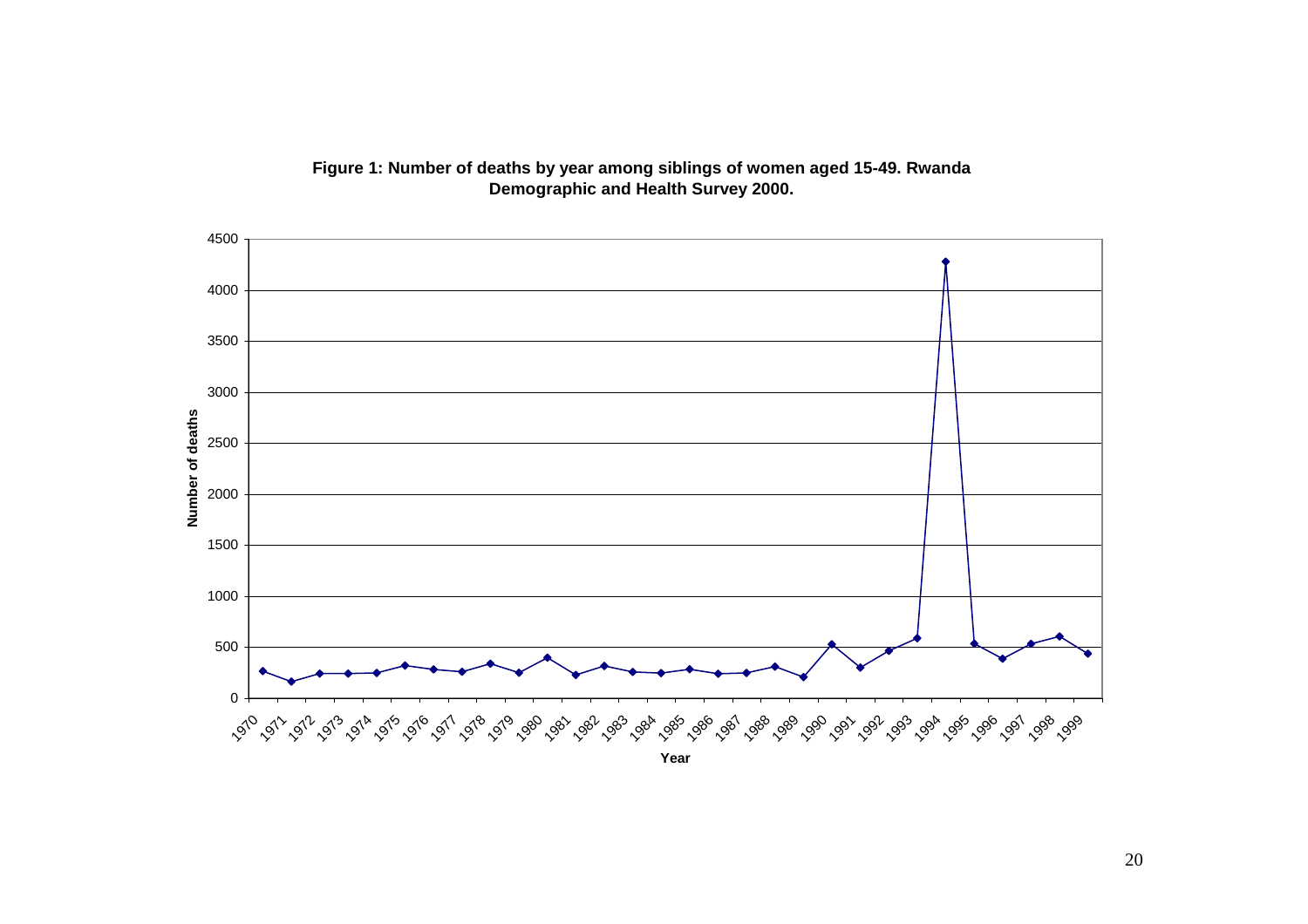

#### **Figure 1: Number of deaths by year among siblings of women aged 15-49. Rwanda Demographic and Health Survey 2000.**

**Year**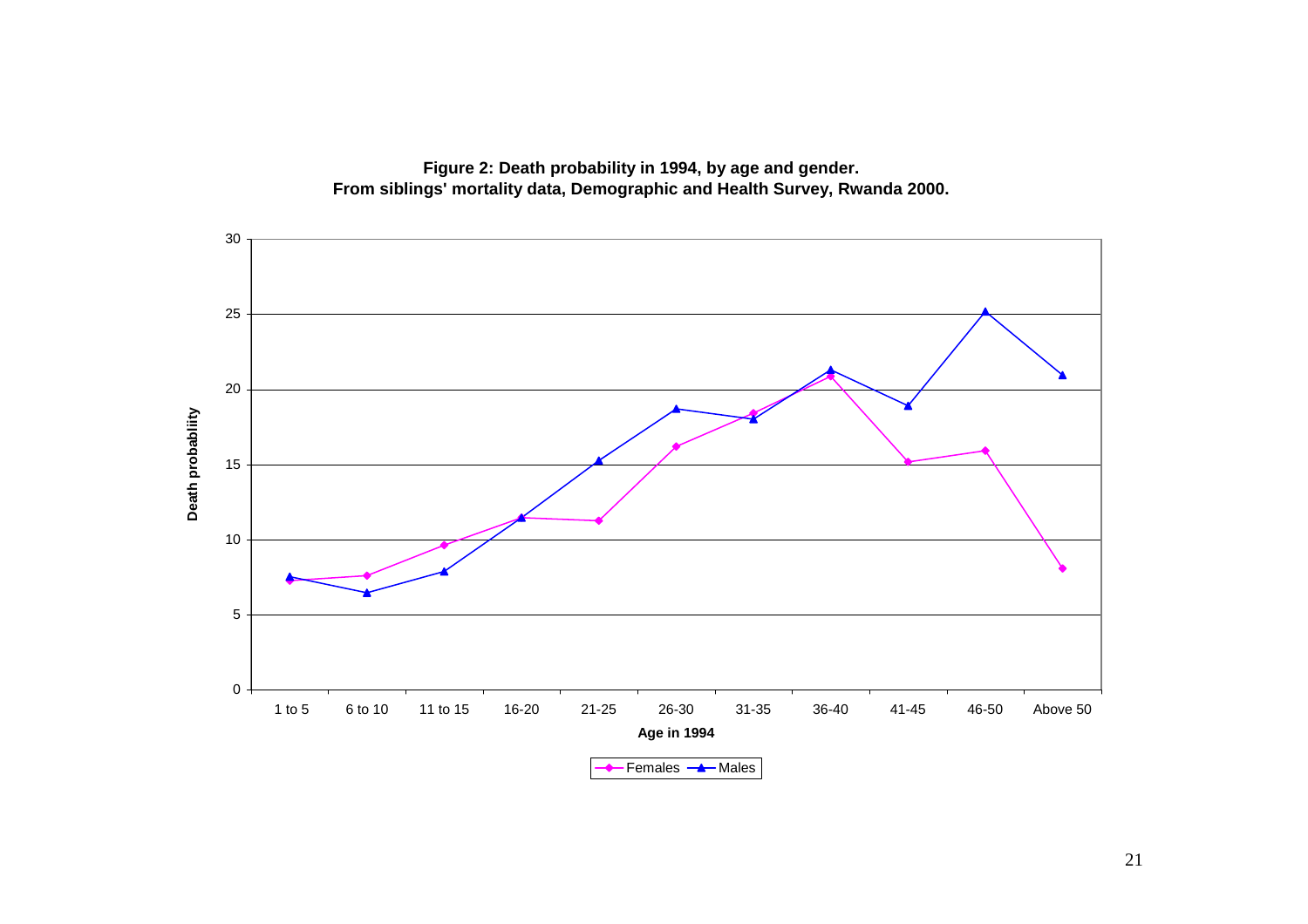

**Figure 2: Death probability in 1994, by age and gender. From siblings' mortality data, Demographic and Health Survey, Rwanda 2000.**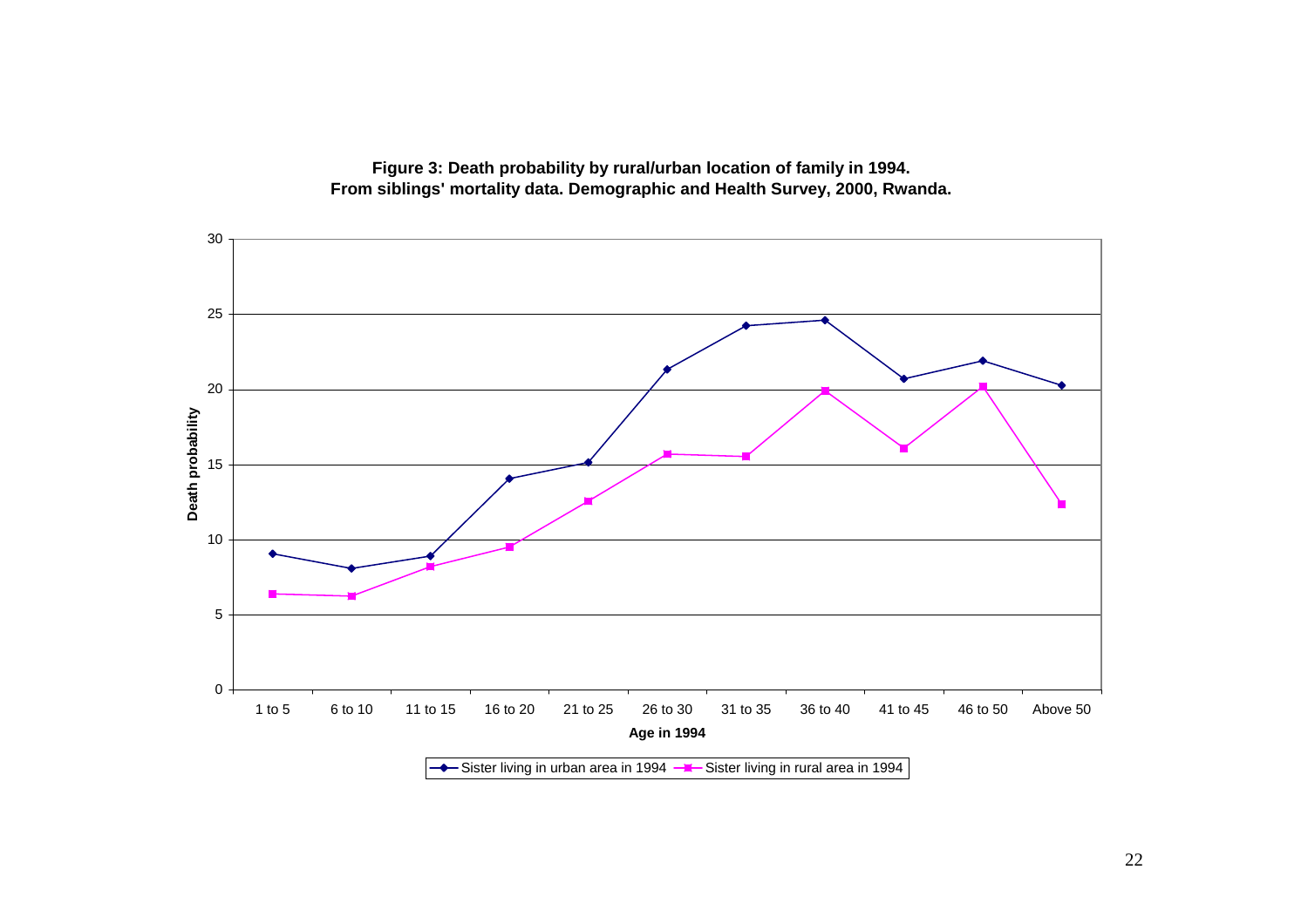**Figure 3: Death probability by rural/urban location of family in 1994. From siblings' mortality data. Demographic and Health Survey, 2000, Rwanda.**

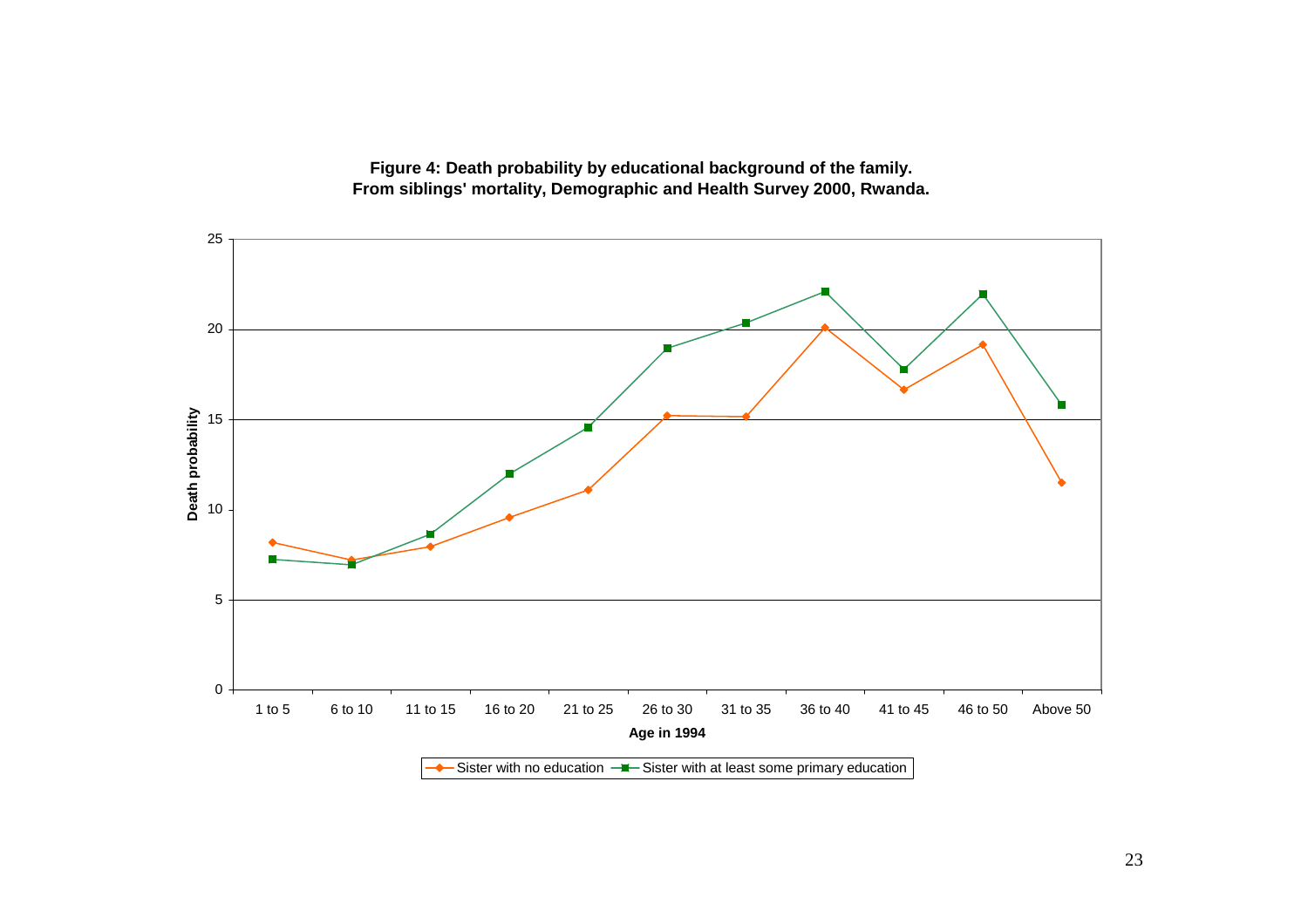**Figure 4: Death probability by educational background of the family. From siblings' mortality, Demographic and Health Survey 2000, Rwanda.**